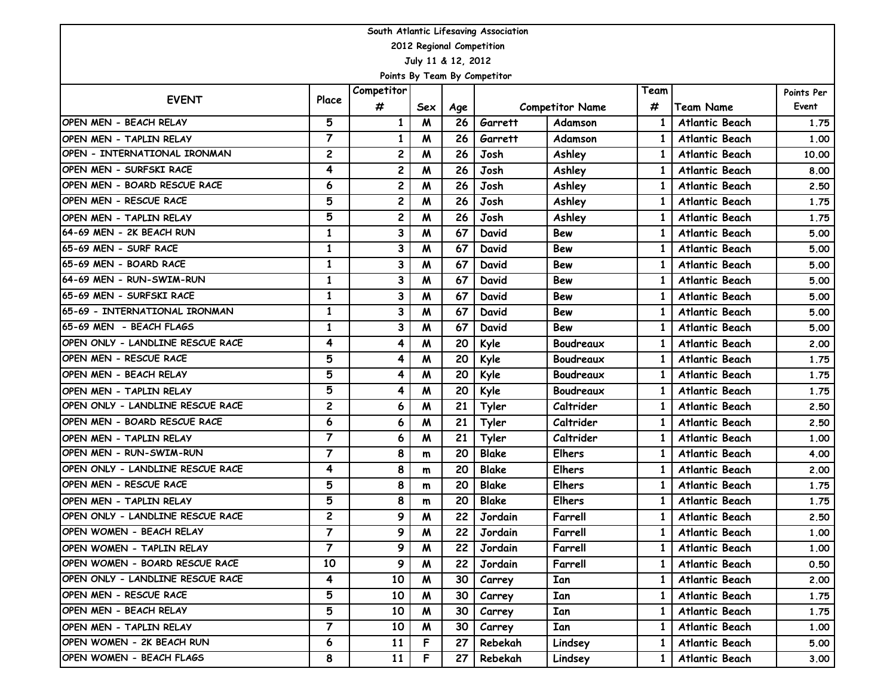| South Atlantic Lifesaving Association |                |                |                    |     |                              |                        |              |                       |            |  |  |  |
|---------------------------------------|----------------|----------------|--------------------|-----|------------------------------|------------------------|--------------|-----------------------|------------|--|--|--|
| 2012 Regional Competition             |                |                |                    |     |                              |                        |              |                       |            |  |  |  |
| July 11 & 12, 2012                    |                |                |                    |     |                              |                        |              |                       |            |  |  |  |
|                                       |                |                |                    |     | Points By Team By Competitor |                        |              |                       |            |  |  |  |
| <b>EVENT</b>                          | Place          | Competitor     |                    |     |                              |                        | Team         |                       | Points Per |  |  |  |
|                                       |                | #              | Sex                | Age |                              | <b>Competitor Name</b> | #            | <b>Team Name</b>      | Event      |  |  |  |
| OPEN MEN - BEACH RELAY                | 5              | 1              | M                  | 26  | Garrett                      | Adamson                | 1            | Atlantic Beach        | 1.75       |  |  |  |
| OPEN MEN - TAPLIN RELAY               | 7              | 1              | M                  | 26  | Garrett                      | Adamson                | 1            | <b>Atlantic Beach</b> | 1.00       |  |  |  |
| OPEN - INTERNATIONAL IRONMAN          | $\mathbf{2}$   | $\mathbf{2}$   | M                  | 26  | Josh                         | Ashley                 | 1            | <b>Atlantic Beach</b> | 10.00      |  |  |  |
| OPEN MEN - SURFSKI RACE               | 4              | $\mathbf{2}$   | M                  | 26  | Josh                         | Ashley                 | 1            | Atlantic Beach        | 8.00       |  |  |  |
| OPEN MEN - BOARD RESCUE RACE          | 6              | 2              | м                  | 26  | Josh                         | Ashley                 | 1            | <b>Atlantic Beach</b> | 2.50       |  |  |  |
| OPEN MEN - RESCUE RACE                | 5              | $\mathbf{2}$   | м                  | 26  | Josh                         | Ashley                 |              | <b>Atlantic Beach</b> | 1.75       |  |  |  |
| OPEN MEN - TAPLIN RELAY               | 5              | 2              | M                  | 26  | Josh                         | Ashley                 | 1            | <b>Atlantic Beach</b> | 1.75       |  |  |  |
| 64-69 MEN - 2K BEACH RUN              | $\mathbf{1}$   | 3              | M                  | 67  | David                        | <b>Bew</b>             | 1            | <b>Atlantic Beach</b> | 5.00       |  |  |  |
| 65-69 MEN - SURF RACE                 | 1              | 3              | M                  | 67  | David                        | <b>Bew</b>             | 1            | Atlantic Beach        | 5.00       |  |  |  |
| 65-69 MEN - BOARD RACE                | $\mathbf{1}$   | 3              | M                  | 67  | David                        | Bew                    | 1            | <b>Atlantic Beach</b> | 5.00       |  |  |  |
| 64-69 MEN - RUN-SWIM-RUN              | $\mathbf{1}$   | 3              | M                  | 67  | David                        | <b>Bew</b>             | 1            | Atlantic Beach        | 5.00       |  |  |  |
| 65-69 MEN - SURFSKI RACE              | $\mathbf{1}$   | 3              | M                  | 67  | David                        | <b>Bew</b>             | 1            | Atlantic Beach        | 5.00       |  |  |  |
| 65-69 - INTERNATIONAL IRONMAN         | $\mathbf{1}$   | 3              | M                  | 67  | David                        | <b>Bew</b>             | 1            | <b>Atlantic Beach</b> | 5.00       |  |  |  |
| 65-69 MEN - BEACH FLAGS               | 1              | 3              | M                  | 67  | David                        | <b>Bew</b>             | 1            | <b>Atlantic Beach</b> | 5.00       |  |  |  |
| OPEN ONLY - LANDLINE RESCUE RACE      | 4              | 4              | м                  | 20  | Kyle                         | <b>Boudreaux</b>       |              | <b>Atlantic Beach</b> | 2.00       |  |  |  |
| OPEN MEN - RESCUE RACE                | 5              | 4              | м                  | 20  | Kyle                         | Boudreaux              | 1            | <b>Atlantic Beach</b> | 1.75       |  |  |  |
| OPEN MEN - BEACH RELAY                | 5              | 4              | M                  | 20  | Kyle                         | Boudreaux              | 1            | <b>Atlantic Beach</b> | 1.75       |  |  |  |
| OPEN MEN - TAPLIN RELAY               | 5              | 4              | M                  | 20  | Kyle                         | Boudreaux              |              | Atlantic Beach        | 1.75       |  |  |  |
| OPEN ONLY - LANDLINE RESCUE RACE      | $\mathbf{2}$   | 6              | м                  | 21  | Tyler                        | Caltrider              | 1            | Atlantic Beach        | 2.50       |  |  |  |
| OPEN MEN - BOARD RESCUE RACE          | 6              | 6              | M                  | 21  | Tyler                        | Caltrider              | $\mathbf{1}$ | Atlantic Beach        | 2.50       |  |  |  |
| OPEN MEN - TAPLIN RELAY               | $\overline{7}$ | 6              | M                  | 21  | Tyler                        | Caltrider              |              | <b>Atlantic Beach</b> | 1.00       |  |  |  |
| OPEN MEN - RUN-SWIM-RUN               | $\overline{7}$ | 8              | m                  | 20  | <b>Blake</b>                 | <b>Elhers</b>          | 1            | Atlantic Beach        | 4.00       |  |  |  |
| OPEN ONLY - LANDLINE RESCUE RACE      | 4              | 8              | m                  | 20  | <b>Blake</b>                 | <b>Elhers</b>          | 1            | <b>Atlantic Beach</b> | 2.00       |  |  |  |
| OPEN MEN - RESCUE RACE                | 5              | 8              | m                  | 20  | <b>Blake</b>                 | <b>Elhers</b>          | 1            | Atlantic Beach        | 1.75       |  |  |  |
| OPEN MEN - TAPLIN RELAY               | 5              | 8              | m                  | 20  | <b>Blake</b>                 | <b>Elhers</b>          | 1            | <b>Atlantic Beach</b> | 1.75       |  |  |  |
| OPEN ONLY - LANDLINE RESCUE RACE      | $\mathbf{2}$   | 9              | M                  | 22  | Jordain                      | Farrell                | $\mathbf{1}$ | Atlantic Beach        | 2.50       |  |  |  |
| OPEN WOMEN - BEACH RELAY              | $\overline{7}$ | $\overline{9}$ | $\pmb{\mathsf{M}}$ | 22  | Jordain                      | Farrell                | $\mathbf{1}$ | <b>Atlantic Beach</b> | 1.00       |  |  |  |
| IOPEN WOMEN - TAPLIN RELAY            | $\overline{ }$ | 9              | M                  | 22  | Jordain                      | Farrell                | 1            | Atlantic Beach        | 1.00       |  |  |  |
| OPEN WOMEN - BOARD RESCUE RACE        | 10             | 9              | M                  | 22  | Jordain                      | Farrell                | $\mathbf{1}$ | Atlantic Beach        | 0.50       |  |  |  |
| OPEN ONLY - LANDLINE RESCUE RACE      | 4              | 10             | M                  | 30  | Carrey                       | Ian                    | 1            | <b>Atlantic Beach</b> | 2.00       |  |  |  |
| OPEN MEN - RESCUE RACE                | 5              | 10             | M                  | 30  | Carrey                       | Ian                    | 1            | Atlantic Beach        | 1.75       |  |  |  |
| OPEN MEN - BEACH RELAY                | 5              | 10             | M                  | 30  | Carrey                       | Ian                    | 1            | Atlantic Beach        | 1.75       |  |  |  |
| OPEN MEN - TAPLIN RELAY               | $\overline{7}$ | 10             | M                  | 30  | Carrey                       | Ian                    | 1            | Atlantic Beach        | 1.00       |  |  |  |
| OPEN WOMEN - 2K BEACH RUN             | 6              | 11             | F.                 | 27  | Rebekah                      | Lindsey                | 1            | Atlantic Beach        | 5.00       |  |  |  |
| OPEN WOMEN - BEACH FLAGS              | 8              | 11             | F                  | 27  | Rebekah                      | Lindsey                | 1            | Atlantic Beach        | 3.00       |  |  |  |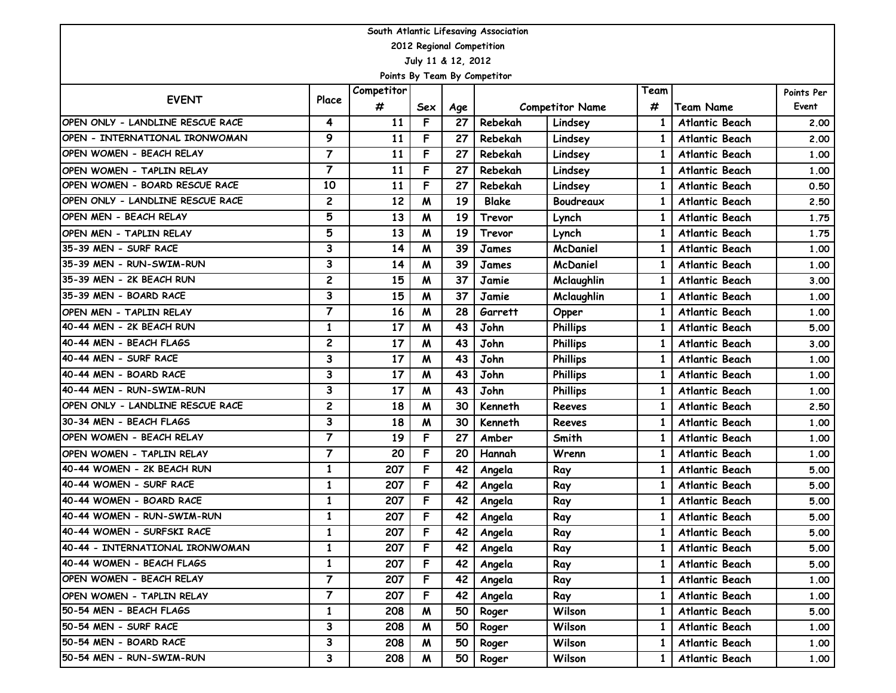| South Atlantic Lifesaving Association |                |            |                |     |              |                        |              |                       |            |  |  |  |  |
|---------------------------------------|----------------|------------|----------------|-----|--------------|------------------------|--------------|-----------------------|------------|--|--|--|--|
| 2012 Regional Competition             |                |            |                |     |              |                        |              |                       |            |  |  |  |  |
| July 11 & 12, 2012                    |                |            |                |     |              |                        |              |                       |            |  |  |  |  |
| Points By Team By Competitor          |                |            |                |     |              |                        |              |                       |            |  |  |  |  |
| <b>EVENT</b>                          | Place          | Competitor |                |     |              |                        | Team         |                       | Points Per |  |  |  |  |
|                                       |                | #          | Sex            | Age |              | <b>Competitor Name</b> | #            | <b>Team Name</b>      | Event      |  |  |  |  |
| OPEN ONLY - LANDLINE RESCUE RACE      | 4              | 11         | F              | 27  | Rebekah      | Lindsey                | 1            | Atlantic Beach        | 2.00       |  |  |  |  |
| OPEN - INTERNATIONAL IRONWOMAN        | 9              | 11         | F              | 27  | Rebekah      | Lindsey                | 1            | Atlantic Beach        | 2.00       |  |  |  |  |
| OPEN WOMEN - BEACH RELAY              | $\overline{7}$ | 11         | F              | 27  | Rebekah      | Lindsey                | 1            | Atlantic Beach        | 1.00       |  |  |  |  |
| OPEN WOMEN - TAPLIN RELAY             | $\overline{7}$ | 11         | F              | 27  | Rebekah      | Lindsey                | 1            | Atlantic Beach        | 1.00       |  |  |  |  |
| OPEN WOMEN - BOARD RESCUE RACE        | 10             | 11         | F              | 27  | Rebekah      | Lindsey                | 1            | Atlantic Beach        | 0.50       |  |  |  |  |
| OPEN ONLY - LANDLINE RESCUE RACE      | $\mathbf{2}$   | 12         | M              | 19  | <b>Blake</b> | Boudreaux              | 1            | Atlantic Beach        | 2.50       |  |  |  |  |
| OPEN MEN - BEACH RELAY                | 5              | 13         | M              | 19  | Trevor       | Lynch                  | 1            | <b>Atlantic Beach</b> | 1.75       |  |  |  |  |
| OPEN MEN - TAPLIN RELAY               | 5              | 13         | M              | 19  | Trevor       | Lynch                  | 1            | Atlantic Beach        | 1.75       |  |  |  |  |
| 35-39 MEN - SURF RACE                 | 3              | 14         | M              | 39  | James        | McDaniel               |              | Atlantic Beach        | 1.00       |  |  |  |  |
| 35-39 MEN - RUN-SWIM-RUN              | 3              | 14         | M              | 39  | James        | <b>McDaniel</b>        | 1            | <b>Atlantic Beach</b> | 1.00       |  |  |  |  |
| 35-39 MEN - 2K BEACH RUN              | $\mathbf{2}$   | 15         | M              | 37  | Jamie        | Mclaughlin             | 1            | Atlantic Beach        | 3.00       |  |  |  |  |
| 35-39 MEN - BOARD RACE                | 3              | 15         | M              | 37  | Jamie        | Mclaughlin             |              | Atlantic Beach        | 1.00       |  |  |  |  |
| OPEN MEN - TAPLIN RELAY               | $\overline{7}$ | 16         | M              | 28  | Garrett      | Opper                  | 1            | Atlantic Beach        | 1.00       |  |  |  |  |
| 40-44 MEN - 2K BEACH RUN              | $\mathbf{1}$   | 17         | M              | 43  | John         | <b>Phillips</b>        | $\mathbf{1}$ | <b>Atlantic Beach</b> | 5.00       |  |  |  |  |
| 40-44 MEN - BEACH FLAGS               | $\mathbf{2}$   | 17         | M              | 43  | John         | <b>Phillips</b>        |              | <b>Atlantic Beach</b> | 3.00       |  |  |  |  |
| 40-44 MEN - SURF RACE                 | 3              | 17         | M              | 43  | John         | <b>Phillips</b>        | 1            | Atlantic Beach        | 1.00       |  |  |  |  |
| 40-44 MEN - BOARD RACE                | 3              | 17         | M              | 43  | John         | <b>Phillips</b>        | 1            | <b>Atlantic Beach</b> | 1.00       |  |  |  |  |
| 40-44 MEN - RUN-SWIM-RUN              | 3              | 17         | M              | 43  | John         | <b>Phillips</b>        |              | <b>Atlantic Beach</b> | 1.00       |  |  |  |  |
| OPEN ONLY - LANDLINE RESCUE RACE      | $\mathbf{2}$   | 18         | M              | 30  | Kenneth      | <b>Reeves</b>          | 1            | Atlantic Beach        | 2.50       |  |  |  |  |
| 30-34 MEN - BEACH FLAGS               | 3              | 18         | M              | 30  | Kenneth      | <b>Reeves</b>          | 1            | Atlantic Beach        | 1.00       |  |  |  |  |
| OPEN WOMEN - BEACH RELAY              | $\overline{7}$ | 19         | F              | 27  | Amber        | Smith                  | 1            | <b>Atlantic Beach</b> | 1.00       |  |  |  |  |
| OPEN WOMEN - TAPLIN RELAY             | 7              | 20         | F              | 20  | Hannah       | Wrenn                  | 1            | <b>Atlantic Beach</b> | 1.00       |  |  |  |  |
| 40-44 WOMEN - 2K BEACH RUN            | $\mathbf{1}$   | 207        | F              | 42  | Angela       | Ray                    | 1            | Atlantic Beach        | 5.00       |  |  |  |  |
| 40-44 WOMEN - SURF RACE               | 1              | 207        | F              | 42  | Angela       | Ray                    | 1            | Atlantic Beach        | 5.00       |  |  |  |  |
| 40-44 WOMEN - BOARD RACE              | $\mathbf{1}$   | 207        | F              | 42  | Angela       | Ray                    | 1            | <b>Atlantic Beach</b> | 5.00       |  |  |  |  |
| 40-44 WOMEN - RUN-SWIM-RUN            | $\mathbf{1}$   | 207        | F              | 42  | Angela       | Ray                    | $\mathbf{1}$ | Atlantic Beach        | 5.00       |  |  |  |  |
| 40-44 WOMEN - SURFSKI RACE            | $\mathbf{1}$   | 207        | $\overline{F}$ |     | 42 Angela    | Ray                    | $1\vert$     | Atlantic Beach        | 5.00       |  |  |  |  |
| 40-44 - INTERNATIONAL IRONWOMAN       | $\mathbf{1}$   | 207        | F              | 42  | Angela       | Ray                    | 1            | Atlantic Beach        | 5.00       |  |  |  |  |
| 40-44 WOMEN - BEACH FLAGS             | $\mathbf{1}$   | 207        | F              | 42  | Angela       | Ray                    | $\mathbf{1}$ | Atlantic Beach        | 5.00       |  |  |  |  |
| OPEN WOMEN - BEACH RELAY              | $\overline{7}$ | 207        | F              | 42  | Angela       | Ray                    | $\mathbf{1}$ | Atlantic Beach        | 1.00       |  |  |  |  |
| OPEN WOMEN - TAPLIN RELAY             | $\overline{7}$ | 207        | F              | 42  | Angela       | Ray                    | 1            | Atlantic Beach        | 1.00       |  |  |  |  |
| 50-54 MEN - BEACH FLAGS               | $\mathbf{1}$   | 208        | M              | 50  | Roger        | Wilson                 | 1            | Atlantic Beach        | 5.00       |  |  |  |  |
| 50-54 MEN - SURF RACE                 | 3              | 208        | M              | 50  | Roger        | Wilson                 | 1            | Atlantic Beach        | 1.00       |  |  |  |  |
| 50-54 MEN - BOARD RACE                | 3              | 208        | M              | 50  | Roger        | Wilson                 | 1            | Atlantic Beach        | 1.00       |  |  |  |  |
| 50-54 MEN - RUN-SWIM-RUN              | $\mathbf{3}$   | 208        | M              | 50  | Roger        | Wilson                 | $\mathbf{1}$ | Atlantic Beach        | 1.00       |  |  |  |  |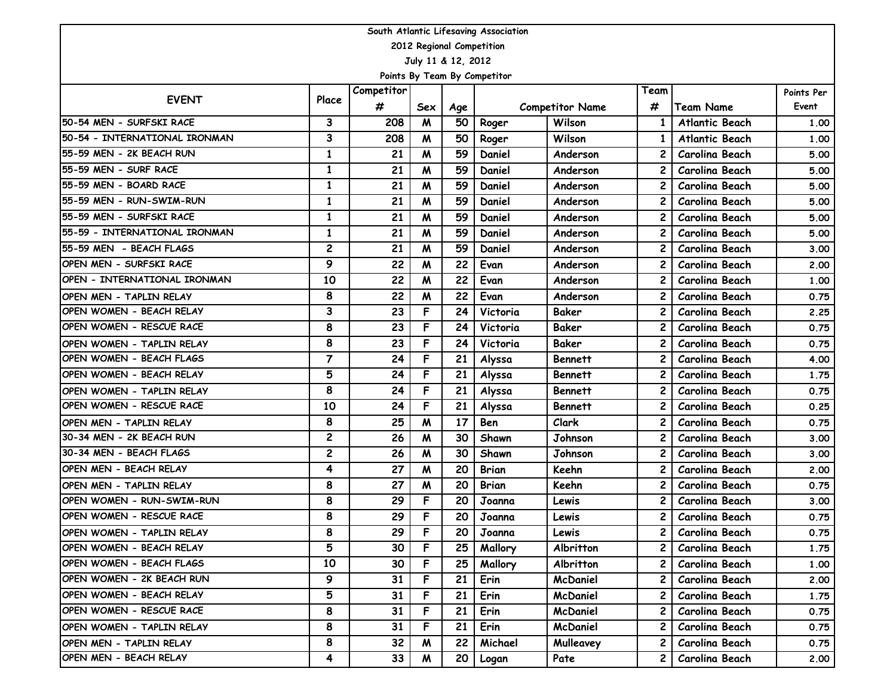| South Atlantic Lifesaving Association |                         |                 |     |                 |              |                        |              |                       |            |  |  |  |  |
|---------------------------------------|-------------------------|-----------------|-----|-----------------|--------------|------------------------|--------------|-----------------------|------------|--|--|--|--|
| 2012 Regional Competition             |                         |                 |     |                 |              |                        |              |                       |            |  |  |  |  |
| July 11 & 12, 2012                    |                         |                 |     |                 |              |                        |              |                       |            |  |  |  |  |
| Points By Team By Competitor          |                         |                 |     |                 |              |                        |              |                       |            |  |  |  |  |
| <b>EVENT</b>                          | Place                   | Competitor      |     |                 |              |                        | Team         |                       | Points Per |  |  |  |  |
|                                       |                         | #               | Sex | Age             |              | <b>Competitor Name</b> | #            | <b>Team Name</b>      | Event      |  |  |  |  |
| 50-54 MEN - SURFSKI RACE              | 3                       | 208             | M   | 50              | Roger        | Wilson                 | 1            | Atlantic Beach        | 1.00       |  |  |  |  |
| 50-54 - INTERNATIONAL IRONMAN         | 3                       | 208             | M   | 50              | Roger        | Wilson                 | 1            | <b>Atlantic Beach</b> | 1.00       |  |  |  |  |
| 55-59 MEN - 2K BEACH RUN              | $\mathbf{1}$            | 21              | M   | 59              | Daniel       | Anderson               | 2            | Carolina Beach        | 5.00       |  |  |  |  |
| 55-59 MEN - SURF RACE                 | $\mathbf{1}$            | 21              | M   | 59              | Daniel       | Anderson               | $\mathbf{2}$ | Carolina Beach        | 5.00       |  |  |  |  |
| 55-59 MEN - BOARD RACE                | $\mathbf{1}$            | 21              | M   | 59              | Daniel       | Anderson               | 2            | <b>Carolina Beach</b> | 5.00       |  |  |  |  |
| 55-59 MEN - RUN-SWIM-RUN              | $\mathbf{1}$            | 21              | M   | 59              | Daniel       | Anderson               | 2            | Carolina Beach        | 5.00       |  |  |  |  |
| 155-59 MEN - SURFSKI RACE             | $\mathbf{1}$            | 21              | M   | 59              | Daniel       | Anderson               | $\mathbf{2}$ | <b>Carolina Beach</b> | 5.00       |  |  |  |  |
| 55-59 - INTERNATIONAL IRONMAN         | $\mathbf{1}$            | 21              | M   | 59              | Daniel       | Anderson               | $\mathbf{2}$ | Carolina Beach        | 5.00       |  |  |  |  |
| 55-59 MEN - BEACH FLAGS               | $\mathbf{2}$            | 21              | M   | 59              | Daniel       | Anderson               | 2            | Carolina Beach        | 3.00       |  |  |  |  |
| OPEN MEN - SURFSKI RACE               | 9                       | 22              | M   | 22              | Evan         | Anderson               | $\mathbf{2}$ | <b>Carolina Beach</b> | 2.00       |  |  |  |  |
| OPEN - INTERNATIONAL IRONMAN          | 10                      | 22              | M   | 22              | Evan         | Anderson               | $\mathbf{2}$ | Carolina Beach        | 1.00       |  |  |  |  |
| OPEN MEN - TAPLIN RELAY               | 8                       | 22              | M   | 22              | Evan         | Anderson               | 2            | Carolina Beach        | 0.75       |  |  |  |  |
| OPEN WOMEN - BEACH RELAY              | 3                       | 23              | F   | 24              | Victoria     | <b>Baker</b>           | $\mathbf{2}$ | <b>Carolina Beach</b> | 2.25       |  |  |  |  |
| OPEN WOMEN - RESCUE RACE              | 8                       | 23              | F   | 24              | Victoria     | <b>Baker</b>           | $\mathbf{2}$ | <b>Carolina Beach</b> | 0.75       |  |  |  |  |
| OPEN WOMEN - TAPLIN RELAY             | 8                       | 23              | F   | 24              | Victoria     | <b>Baker</b>           | 2            | <b>Carolina Beach</b> | 0.75       |  |  |  |  |
| <b>OPEN WOMEN - BEACH FLAGS</b>       | $\overline{7}$          | 24              | F   | 21              | Alyssa       | <b>Bennett</b>         | $\mathbf{2}$ | <b>Carolina Beach</b> | 4.00       |  |  |  |  |
| OPEN WOMEN - BEACH RELAY              | 5                       | 24              | F   | 21              | Alyssa       | <b>Bennett</b>         | $\mathbf{2}$ | Carolina Beach        | 1.75       |  |  |  |  |
| OPEN WOMEN - TAPLIN RELAY             | 8                       | 24              | F   | 21              | Alyssa       | <b>Bennett</b>         | 2            | Carolina Beach        | 0.75       |  |  |  |  |
| OPEN WOMEN - RESCUE RACE              | 10                      | 24              | F   | 21              | Alyssa       | <b>Bennett</b>         | $\mathbf{2}$ | Carolina Beach        | 0.25       |  |  |  |  |
| OPEN MEN - TAPLIN RELAY               | 8                       | 25              | M   | 17              | Ben          | Clark                  | $\mathbf{2}$ | Carolina Beach        | 0.75       |  |  |  |  |
| 30-34 MEN - 2K BEACH RUN              | $\mathbf{2}$            | 26              | M   | 30              | Shawn        | Johnson                | 2            | Carolina Beach        | 3.00       |  |  |  |  |
| 30-34 MEN - BEACH FLAGS               | $\mathbf{2}$            | 26              | M   | 30              | Shawn        | Johnson                | 2            | Carolina Beach        | 3.00       |  |  |  |  |
| OPEN MEN - BEACH RELAY                | 4                       | 27              | M   | 20              | <b>Brian</b> | Keehn                  | 2            | Carolina Beach        | 2.00       |  |  |  |  |
| OPEN MEN - TAPLIN RELAY               | 8                       | 27              | M   | 20              | <b>Brian</b> | Keehn                  | 2            | Carolina Beach        | 0.75       |  |  |  |  |
| IOPEN WOMEN - RUN-SWIM-RUN            | 8                       | 29              | F   | 20              | Joanna       | Lewis                  | $\mathbf{2}$ | Carolina Beach        | 3.00       |  |  |  |  |
| OPEN WOMEN - RESCUE RACE              | 8                       | 29              | F   | 20              | Joanna       | Lewis                  | $\mathbf{2}$ | Carolina Beach        | 0.75       |  |  |  |  |
| OPEN WOMEN - TAPLIN RELAY             | 8                       | $\overline{29}$ | F   | 20 <sup>1</sup> | Joanna       | Lewis                  |              | 2 Carolina Beach      | 0.75       |  |  |  |  |
| OPEN WOMEN - BEACH RELAY              | 5                       | 30              | F   | 25              | Mallory      | Albritton              | 2            | Carolina Beach        | 1.75       |  |  |  |  |
| OPEN WOMEN - BEACH FLAGS              | 10                      | 30              | F   | 25              | Mallory      | Albritton              | $\mathbf{2}$ | Carolina Beach        | 1.00       |  |  |  |  |
| OPEN WOMEN - 2K BEACH RUN             | 9                       | 31              | F   | 21              | Erin         | McDaniel               | $\mathbf{2}$ | Carolina Beach        | 2.00       |  |  |  |  |
| OPEN WOMEN - BEACH RELAY              | 5                       | 31              | F.  | 21              | Erin         | McDaniel               | $\mathbf{2}$ | Carolina Beach        | 1.75       |  |  |  |  |
| OPEN WOMEN - RESCUE RACE              | 8                       | 31              | F.  | 21              | Erin         | McDaniel               | 2            | Carolina Beach        | 0.75       |  |  |  |  |
| OPEN WOMEN - TAPLIN RELAY             | 8                       | 31              | F.  | 21              | Erin         | McDaniel               | 2            | Carolina Beach        | 0.75       |  |  |  |  |
| OPEN MEN - TAPLIN RELAY               | 8                       | 32              | M   | 22              | Michael      | Mulleavey              | $\mathbf{2}$ | Carolina Beach        | 0.75       |  |  |  |  |
| OPEN MEN - BEACH RELAY                | $\overline{\mathbf{4}}$ | 33              | M   | 20 <sub>1</sub> | Logan        | Pate                   | 2            | Carolina Beach        | 2.00       |  |  |  |  |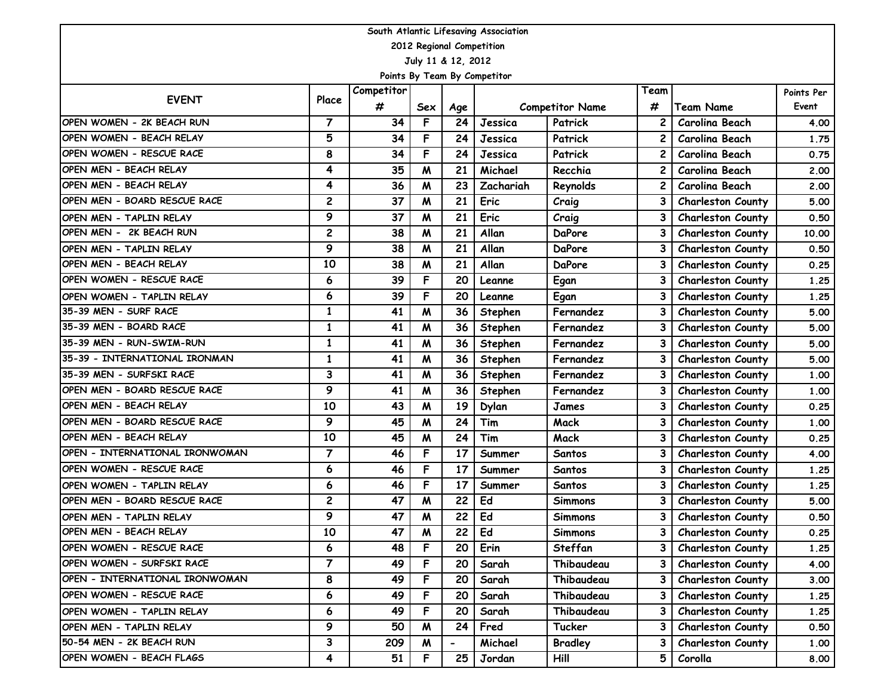| South Atlantic Lifesaving Association |                         |                 |                |                          |           |                        |                         |                          |            |  |  |  |
|---------------------------------------|-------------------------|-----------------|----------------|--------------------------|-----------|------------------------|-------------------------|--------------------------|------------|--|--|--|
| 2012 Regional Competition             |                         |                 |                |                          |           |                        |                         |                          |            |  |  |  |
| July 11 & 12, 2012                    |                         |                 |                |                          |           |                        |                         |                          |            |  |  |  |
| Points By Team By Competitor          |                         |                 |                |                          |           |                        |                         |                          |            |  |  |  |
| <b>EVENT</b>                          | Place                   | Competitor      |                |                          |           |                        | Team                    |                          | Points Per |  |  |  |
|                                       |                         | #               | Sex            | Age                      |           | <b>Competitor Name</b> | #                       | <b>Team Name</b>         | Event      |  |  |  |
| OPEN WOMEN - 2K BEACH RUN             | $\overline{7}$          | 34              | F              | 24                       | Jessica   | Patrick                | $\mathbf{2}$            | Carolina Beach           | 4.00       |  |  |  |
| OPEN WOMEN - BEACH RELAY              | 5                       | 34              | F              | 24                       | Jessica   | Patrick                | $\mathbf{2}$            | Carolina Beach           | 1.75       |  |  |  |
| OPEN WOMEN - RESCUE RACE              | 8                       | 34              | F              | 24                       | Jessica   | Patrick                | $\mathbf{2}$            | Carolina Beach           | 0.75       |  |  |  |
| OPEN MEN - BEACH RELAY                | 4                       | 35              | M              | 21                       | Michael   | Recchia                | $\mathbf{2}$            | Carolina Beach           | 2.00       |  |  |  |
| OPEN MEN - BEACH RELAY                | 4                       | 36              | M              | 23                       | Zachariah | Reynolds               | 2                       | Carolina Beach           | 2.00       |  |  |  |
| OPEN MEN - BOARD RESCUE RACE          | $\mathbf{2}$            | 37              | M              | 21                       | Eric      | Craig                  | 3                       | <b>Charleston County</b> | 5.00       |  |  |  |
| OPEN MEN - TAPLIN RELAY               | 9                       | 37              | M              | 21                       | Eric      | Craig                  | 3                       | Charleston County        | 0.50       |  |  |  |
| OPEN MEN - 2K BEACH RUN               | $\overline{2}$          | 38              | M              | 21                       | Allan     | DaPore                 | 3                       | <b>Charleston County</b> | 10.00      |  |  |  |
| OPEN MEN - TAPLIN RELAY               | 9                       | 38              | M              | 21                       | Allan     | DaPore                 | 3                       | <b>Charleston County</b> | 0.50       |  |  |  |
| OPEN MEN - BEACH RELAY                | 10                      | 38              | M              | 21                       | Allan     | DaPore                 | 3                       | Charleston County        | 0.25       |  |  |  |
| OPEN WOMEN - RESCUE RACE              | 6                       | 39              | F              | 20                       | Leanne    | Egan                   | 3                       | <b>Charleston County</b> | 1.25       |  |  |  |
| OPEN WOMEN - TAPLIN RELAY             | 6                       | 39              | F              | 20                       | Leanne    | Egan                   | 3                       | <b>Charleston County</b> | 1.25       |  |  |  |
| 35-39 MEN - SURF RACE                 | $\mathbf{1}$            | 41              | M              | 36                       | Stephen   | Fernandez              | 3                       | Charleston County        | 5.00       |  |  |  |
| 35-39 MEN - BOARD RACE                | 1                       | 41              | M              | 36                       | Stephen   | Fernandez              | 3                       | <b>Charleston County</b> | 5.00       |  |  |  |
| 35-39 MEN - RUN-SWIM-RUN              | 1                       | 41              | M              | 36                       | Stephen   | Fernandez              | 3                       | <b>Charleston County</b> | 5.00       |  |  |  |
| 35-39 - INTERNATIONAL IRONMAN         | $\mathbf{1}$            | 41              | M              | 36                       | Stephen   | Fernandez              | 3                       | Charleston County        | 5.00       |  |  |  |
| 35-39 MEN - SURFSKI RACE              | 3                       | 41              | M              | 36                       | Stephen   | Fernandez              | 3                       | <b>Charleston County</b> | 1.00       |  |  |  |
| OPEN MEN - BOARD RESCUE RACE          | 9                       | 41              | M              | 36                       | Stephen   | Fernandez              | 3                       | <b>Charleston County</b> | 1.00       |  |  |  |
| OPEN MEN - BEACH RELAY                | 10                      | 43              | M              | 19                       | Dylan     | James                  | 3                       | Charleston County        | 0.25       |  |  |  |
| OPEN MEN - BOARD RESCUE RACE          | 9                       | 45              | M              | 24                       | Tim       | Mack                   | 3                       | <b>Charleston County</b> | 1.00       |  |  |  |
| OPEN MEN - BEACH RELAY                | 10                      | 45              | M              | 24                       | Tim       | Mack                   | 3                       | Charleston County        | 0.25       |  |  |  |
| OPEN - INTERNATIONAL IRONWOMAN        | $\overline{7}$          | 46              | F              | 17                       | Summer    | Santos                 | 3                       | Charleston County        | 4.00       |  |  |  |
| OPEN WOMEN - RESCUE RACE              | 6                       | 46              | F              | 17                       | Summer    | Santos                 | 3                       | <b>Charleston County</b> | 1.25       |  |  |  |
| OPEN WOMEN - TAPLIN RELAY             | 6                       | 46              | F              | 17                       | Summer    | Santos                 | 3                       | <b>Charleston County</b> | 1.25       |  |  |  |
| OPEN MEN - BOARD RESCUE RACE          | $\mathbf{2}$            | 47              | M              | 22                       | Ed        | <b>Simmons</b>         | 3                       | Charleston County        | 5.00       |  |  |  |
| OPEN MEN - TAPLIN RELAY               | 9                       | 47              | M              | 22                       | Ed        | <b>Simmons</b>         | 3                       | <b>Charleston County</b> | 0.50       |  |  |  |
| OPEN MEN - BEACH RELAY                | 10                      | $\overline{47}$ | $\overline{M}$ | 22                       | Ed        | Simmons                | $\overline{\mathbf{3}}$ | <b>Charleston County</b> | 0.25       |  |  |  |
| OPEN WOMEN - RESCUE RACE              | 6                       | 48              | F              | 20                       | Erin      | Steffan                | 3                       | <b>Charleston County</b> | 1.25       |  |  |  |
| OPEN WOMEN - SURFSKI RACE             | $\overline{7}$          | 49              | F              | 20                       | Sarah     | Thibaudeau             | 3                       | <b>Charleston County</b> | 4.00       |  |  |  |
| OPEN - INTERNATIONAL IRONWOMAN        | 8                       | 49              | F              | 20                       | Sarah     | Thibaudeau             | 3                       | <b>Charleston County</b> | 3.00       |  |  |  |
| OPEN WOMEN - RESCUE RACE              | 6                       | 49              | F.             | 20                       | Sarah     | Thibaudeau             | 3                       | <b>Charleston County</b> | 1.25       |  |  |  |
| IOPEN WOMEN - TAPLIN RELAY            | 6                       | 49              | F              | 20                       | Sarah     | Thibaudeau             | 3                       | <b>Charleston County</b> | 1.25       |  |  |  |
| OPEN MEN - TAPLIN RELAY               | 9                       | 50              | M              | 24                       | Fred      | Tucker                 | 3                       | <b>Charleston County</b> | 0.50       |  |  |  |
| 50-54 MEN - 2K BEACH RUN              | 3                       | 209             | M              | $\overline{\phantom{0}}$ | Michael   | Bradley                | 3                       | <b>Charleston County</b> | 1.00       |  |  |  |
| OPEN WOMEN - BEACH FLAGS              | $\overline{\mathbf{4}}$ | 51              | F.             | 25 <sub>1</sub>          | Jordan    | Hill                   | 5                       | Corolla                  | 8.00       |  |  |  |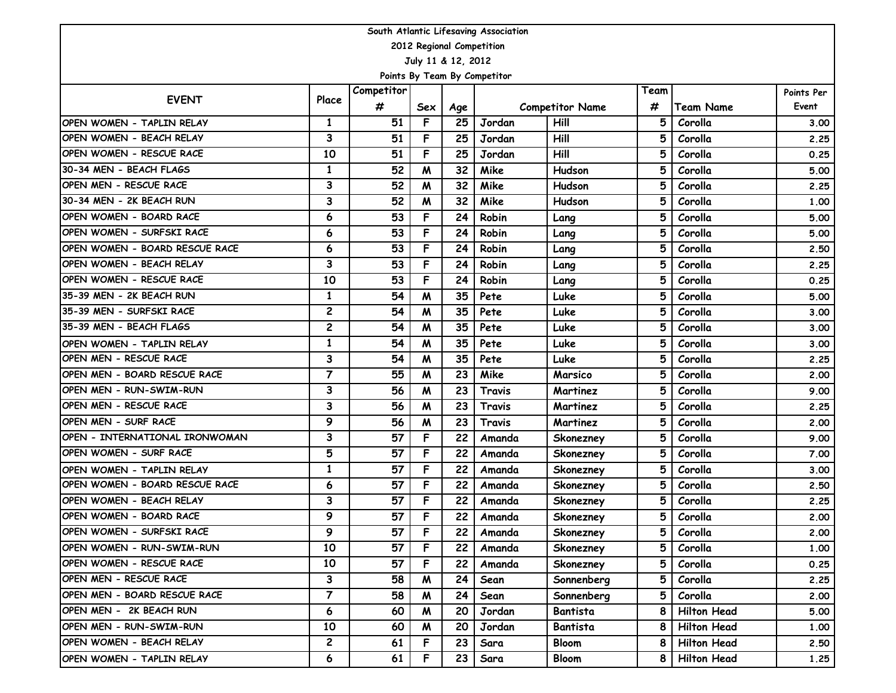| South Atlantic Lifesaving Association |                |                 |                |     |                              |                        |      |                    |            |  |  |  |
|---------------------------------------|----------------|-----------------|----------------|-----|------------------------------|------------------------|------|--------------------|------------|--|--|--|
| 2012 Regional Competition             |                |                 |                |     |                              |                        |      |                    |            |  |  |  |
| July 11 & 12, 2012                    |                |                 |                |     |                              |                        |      |                    |            |  |  |  |
|                                       |                |                 |                |     | Points By Team By Competitor |                        |      |                    |            |  |  |  |
| <b>EVENT</b>                          | Place          | Competitor      |                |     |                              |                        | Team |                    | Points Per |  |  |  |
|                                       |                | #               | Sex            | Age |                              | <b>Competitor Name</b> | #    | <b>Team Name</b>   | Event      |  |  |  |
| OPEN WOMEN - TAPLIN RELAY             | $\mathbf{1}$   | 51              | F              | 25  | Jordan                       | Hill                   | 5    | Corolla            | 3.00       |  |  |  |
| OPEN WOMEN - BEACH RELAY              | 3              | 51              | F              | 25  | Jordan                       | Hill                   | 5    | Corolla            | 2.25       |  |  |  |
| OPEN WOMEN - RESCUE RACE              | 10             | 51              | F              | 25  | Jordan                       | Hill                   | 5    | Corolla            | 0.25       |  |  |  |
| 30-34 MEN - BEACH FLAGS               | $\mathbf{1}$   | 52              | M              | 32  | Mike                         | Hudson                 | 5    | Corolla            | 5.00       |  |  |  |
| OPEN MEN - RESCUE RACE                | 3              | 52              | M              | 32  | Mike                         | Hudson                 | 5    | Corolla            | 2.25       |  |  |  |
| 30-34 MEN - 2K BEACH RUN              | 3              | 52              | M              | 32  | Mike                         | Hudson                 | 5    | Corolla            | 1.00       |  |  |  |
| OPEN WOMEN - BOARD RACE               | 6              | 53              | F              | 24  | Robin                        | Lang                   | 5    | Corolla            | 5.00       |  |  |  |
| OPEN WOMEN - SURFSKI RACE             | 6              | 53              | F              | 24  | Robin                        | Lang                   | 5    | Corolla            | 5.00       |  |  |  |
| OPEN WOMEN - BOARD RESCUE RACE        | 6              | 53              | F              | 24  | Robin                        | Lang                   | 5    | Corolla            | 2.50       |  |  |  |
| OPEN WOMEN - BEACH RELAY              | 3              | 53              | F              | 24  | Robin                        | Lang                   | 5    | Corolla            | 2.25       |  |  |  |
| OPEN WOMEN - RESCUE RACE              | 10             | 53              | F              | 24  | Robin                        | Lang                   | 5    | Corolla            | 0.25       |  |  |  |
| 35-39 MEN - 2K BEACH RUN              | 1              | 54              | M              | 35  | Pete                         | Luke                   | 5    | Corolla            | 5.00       |  |  |  |
| 35-39 MEN - SURFSKI RACE              | $\mathbf{2}$   | 54              | M              | 35  | Pete                         | Luke                   | 5    | Corolla            | 3.00       |  |  |  |
| 35-39 MEN - BEACH FLAGS               | $\overline{c}$ | 54              | M              | 35  | Pete                         | Luke                   | 5    | Corolla            | 3.00       |  |  |  |
| OPEN WOMEN - TAPLIN RELAY             | $\mathbf{1}$   | 54              | M              | 35  | Pete                         | Luke                   | 5    | Corolla            | 3.00       |  |  |  |
| OPEN MEN - RESCUE RACE                | 3              | 54              | M              | 35  | Pete                         | Luke                   | 5    | Corolla            | 2.25       |  |  |  |
| OPEN MEN - BOARD RESCUE RACE          | $\overline{7}$ | 55              | M              | 23  | Mike                         | Marsico                | 5    | Corolla            | 2.00       |  |  |  |
| OPEN MEN - RUN-SWIM-RUN               | 3              | 56              | M              | 23  | Travis                       | Martinez               | 5    | Corolla            | 9.00       |  |  |  |
| OPEN MEN - RESCUE RACE                | 3              | 56              | M              | 23  | Travis                       | Martinez               | 5    | Corolla            | 2.25       |  |  |  |
| OPEN MEN - SURF RACE                  | 9              | 56              | M              | 23  | Travis                       | Martinez               | 5    | Corolla            | 2.00       |  |  |  |
| OPEN - INTERNATIONAL IRONWOMAN        | 3              | 57              | F              | 22  | Amanda                       | Skonezney              | 5    | Corolla            | 9.00       |  |  |  |
| OPEN WOMEN - SURF RACE                | 5              | 57              | F              | 22  | Amanda                       | Skonezney              | 5    | Corolla            | 7.00       |  |  |  |
| OPEN WOMEN - TAPLIN RELAY             | $\mathbf{1}$   | 57              | F              | 22  | Amanda                       | Skonezney              | 5    | Corolla            | 3.00       |  |  |  |
| OPEN WOMEN - BOARD RESCUE RACE        | 6              | 57              | F              | 22  | Amanda                       | Skonezney              | 5    | Corolla            | 2.50       |  |  |  |
| OPEN WOMEN - BEACH RELAY              | 3              | 57              | F              | 22  | Amanda                       | Skonezney              | 5    | Corolla            | 2.25       |  |  |  |
| OPEN WOMEN - BOARD RACE               | 9              | 57              | F              | 22  | Amanda                       | Skonezney              | 5    | Corolla            | 2.00       |  |  |  |
| OPEN WOMEN - SURFSKI RACE             | 9              | $\overline{57}$ | $\overline{F}$ | 22  | Amanda                       | Skonezney              |      | 5 Corolla          | 2.00       |  |  |  |
| OPEN WOMEN - RUN-SWIM-RUN             | 10             | 57              | F              | 22  | Amanda                       | Skonezney              | 5    | Corolla            | 1.00       |  |  |  |
| IOPEN WOMEN - RESCUE RACE             | 10             | 57              | F              | 22  | Amanda                       | Skonezney              | 5    | Corolla            | 0.25       |  |  |  |
| OPEN MEN - RESCUE RACE                | 3              | 58              | M              | 24  | Sean                         | Sonnenberg             | 5    | Corolla            | 2.25       |  |  |  |
| OPEN MEN - BOARD RESCUE RACE          | $\overline{7}$ | 58              | M              | 24  | Sean                         | Sonnenberg             | 5    | Corolla            | 2.00       |  |  |  |
| OPEN MEN - 2K BEACH RUN               | 6              | 60              | M              | 20  | Jordan                       | Bantista               | 8    | <b>Hilton Head</b> | 5.00       |  |  |  |
| OPEN MEN - RUN-SWIM-RUN               | 10             | 60              | M              | 20  | Jordan                       | Bantista               | 8    | <b>Hilton Head</b> | 1.00       |  |  |  |
| OPEN WOMEN - BEACH RELAY              | $\mathbf{2}$   | 61              | F              | 23  | Sara                         | <b>Bloom</b>           | 8    | <b>Hilton Head</b> | 2.50       |  |  |  |
| OPEN WOMEN - TAPLIN RELAY             | 6              | 61              | F.             | 23  | Sara                         | <b>Bloom</b>           | 8 I  | <b>Hilton Head</b> | 1.25       |  |  |  |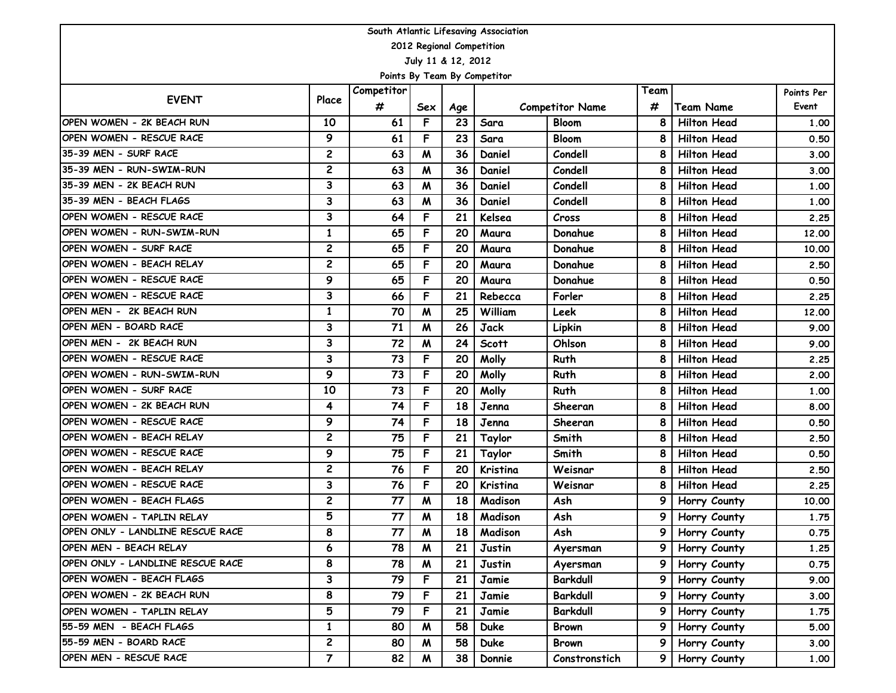| South Atlantic Lifesaving Association |                         |                 |                    |     |             |                        |      |                    |            |  |  |  |
|---------------------------------------|-------------------------|-----------------|--------------------|-----|-------------|------------------------|------|--------------------|------------|--|--|--|
| 2012 Regional Competition             |                         |                 |                    |     |             |                        |      |                    |            |  |  |  |
| July 11 & 12, 2012                    |                         |                 |                    |     |             |                        |      |                    |            |  |  |  |
| Points By Team By Competitor          |                         |                 |                    |     |             |                        |      |                    |            |  |  |  |
| <b>EVENT</b>                          | Place                   | Competitor      |                    |     |             |                        | Team |                    | Points Per |  |  |  |
|                                       |                         | #               | Sex                | Age |             | <b>Competitor Name</b> | #    | <b>Team Name</b>   | Event      |  |  |  |
| OPEN WOMEN - 2K BEACH RUN             | 10                      | 61              | F                  | 23  | Sara        | <b>Bloom</b>           | 8    | <b>Hilton Head</b> | 1.00       |  |  |  |
| OPEN WOMEN - RESCUE RACE              | 9                       | 61              | F                  | 23  | Sara        | <b>Bloom</b>           | 8    | <b>Hilton Head</b> | 0.50       |  |  |  |
| 35-39 MEN - SURF RACE                 | $\mathbf{2}$            | 63              | M                  | 36  | Daniel      | Condell                | 8    | <b>Hilton Head</b> | 3.00       |  |  |  |
| 35-39 MEN - RUN-SWIM-RUN              | $\mathbf{2}$            | 63              | M                  | 36  | Daniel      | Condell                | 8    | <b>Hilton Head</b> | 3.00       |  |  |  |
| 35-39 MEN - 2K BEACH RUN              | 3                       | 63              | M                  | 36  | Daniel      | Condell                | 8    | <b>Hilton Head</b> | 1.00       |  |  |  |
| 35-39 MEN - BEACH FLAGS               | 3                       | 63              | M                  | 36  | Daniel      | Condell                | 8    | <b>Hilton Head</b> | 1.00       |  |  |  |
| OPEN WOMEN - RESCUE RACE              | 3                       | 64              | F                  | 21  | Kelsea      | Cross                  | 8    | <b>Hilton Head</b> | 2.25       |  |  |  |
| OPEN WOMEN - RUN-SWIM-RUN             | $\mathbf{1}$            | 65              | F                  | 20  | Maura       | Donahue                | 8    | <b>Hilton Head</b> | 12.00      |  |  |  |
| OPEN WOMEN - SURF RACE                | $\mathbf{2}$            | 65              | F                  | 20  | Maura       | Donahue                | 8    | <b>Hilton Head</b> | 10.00      |  |  |  |
| OPEN WOMEN - BEACH RELAY              | $\mathbf{2}$            | 65              | F                  | 20  | Maura       | Donahue                | 8    | <b>Hilton Head</b> | 2.50       |  |  |  |
| OPEN WOMEN - RESCUE RACE              | 9                       | 65              | F                  | 20  | Maura       | Donahue                | 8    | <b>Hilton Head</b> | 0.50       |  |  |  |
| OPEN WOMEN - RESCUE RACE              | 3                       | 66              | F                  | 21  | Rebecca     | Forler                 | 8    | <b>Hilton Head</b> | 2.25       |  |  |  |
| OPEN MEN - 2K BEACH RUN               | $\mathbf{1}$            | 70              | M                  | 25  | William     | Leek                   | 8    | <b>Hilton Head</b> | 12.00      |  |  |  |
| OPEN MEN - BOARD RACE                 | 3                       | 71              | M                  | 26  | Jack        | Lipkin                 | 8    | <b>Hilton Head</b> | 9.00       |  |  |  |
| OPEN MEN - 2K BEACH RUN               | 3                       | 72              | M                  | 24  | Scott       | Ohlson                 | 8    | <b>Hilton Head</b> | 9.00       |  |  |  |
| OPEN WOMEN - RESCUE RACE              | 3                       | 73              | F                  | 20  | Molly       | Ruth                   | 8    | <b>Hilton Head</b> | 2.25       |  |  |  |
| OPEN WOMEN - RUN-SWIM-RUN             | 9                       | 73              | F                  | 20  | Molly       | Ruth                   | 8    | <b>Hilton Head</b> | 2.00       |  |  |  |
| OPEN WOMEN - SURF RACE                | 10                      | 73              | F                  | 20  | Molly       | Ruth                   | 8    | <b>Hilton Head</b> | 1.00       |  |  |  |
| OPEN WOMEN - 2K BEACH RUN             | 4                       | 74              | F                  | 18  | Jenna       | Sheeran                | 8    | <b>Hilton Head</b> | 8.00       |  |  |  |
| OPEN WOMEN - RESCUE RACE              | 9                       | 74              | F                  | 18  | Jenna       | Sheeran                | 8    | <b>Hilton Head</b> | 0.50       |  |  |  |
| OPEN WOMEN - BEACH RELAY              | $\mathbf{2}$            | 75              | F                  | 21  | Taylor      | Smith                  | 8    | <b>Hilton Head</b> | 2.50       |  |  |  |
| OPEN WOMEN - RESCUE RACE              | 9                       | 75              | F                  | 21  | Taylor      | Smith                  | 8    | <b>Hilton Head</b> | 0.50       |  |  |  |
| OPEN WOMEN - BEACH RELAY              | $\mathbf{2}$            | 76              | F                  | 20  | Kristina    | Weisnar                | 8    | <b>Hilton Head</b> | 2.50       |  |  |  |
| OPEN WOMEN - RESCUE RACE              | 3                       | 76              | F                  | 20  | Kristina    | Weisnar                | 8    | <b>Hilton Head</b> | 2.25       |  |  |  |
| <b>OPEN WOMEN - BEACH FLAGS</b>       | $\mathbf{2}$            | 77              | M                  | 18  | Madison     | Ash                    | 9    | Horry County       | 10.00      |  |  |  |
| OPEN WOMEN - TAPLIN RELAY             | 5                       | 77              | M                  | 18  | Madison     | Ash                    | 9    | Horry County       | 1.75       |  |  |  |
| OPEN ONLY - LANDLINE RESCUE RACE      | 8                       | $\overline{77}$ | $\pmb{\mathsf{M}}$ | 18  | Madison     | Ash                    |      | 9 Horry County     | 0.75       |  |  |  |
| OPEN MEN - BEACH RELAY                | 6                       | 78              | M                  | 21  | Justin      | Ayersman               | 9    | Horry County       | 1.25       |  |  |  |
| OPEN ONLY - LANDLINE RESCUE RACE      | 8                       | 78              | M                  | 21  | Justin      | Ayersman               | 9    | Horry County       | 0.75       |  |  |  |
| OPEN WOMEN - BEACH FLAGS              | 3                       | 79              | F                  | 21  | Jamie       | Barkdull               | 9 I  | Horry County       | 9.00       |  |  |  |
| OPEN WOMEN - 2K BEACH RUN             | 8                       | 79              | F                  | 21  | Jamie       | Barkdull               | 9    | Horry County       | 3.00       |  |  |  |
| OPEN WOMEN - TAPLIN RELAY             | 5                       | 79              | F.                 | 21  | Jamie       | <b>Barkdull</b>        | 9    | Horry County       | 1.75       |  |  |  |
| 55-59 MEN - BEACH FLAGS               | 1                       | 80              | M                  | 58  | <b>Duke</b> | <b>Brown</b>           | 9    | Horry County       | 5.00       |  |  |  |
| 55-59 MEN - BOARD RACE                | $\overline{\mathbf{c}}$ | 80              | M                  | 58  | Duke        | <b>Brown</b>           | 9    | Horry County       | 3.00       |  |  |  |
| OPEN MEN - RESCUE RACE                | $\overline{7}$          | 82              | M                  | 38  | Donnie      | Constronstich          | 9    | Horry County       | 1.00       |  |  |  |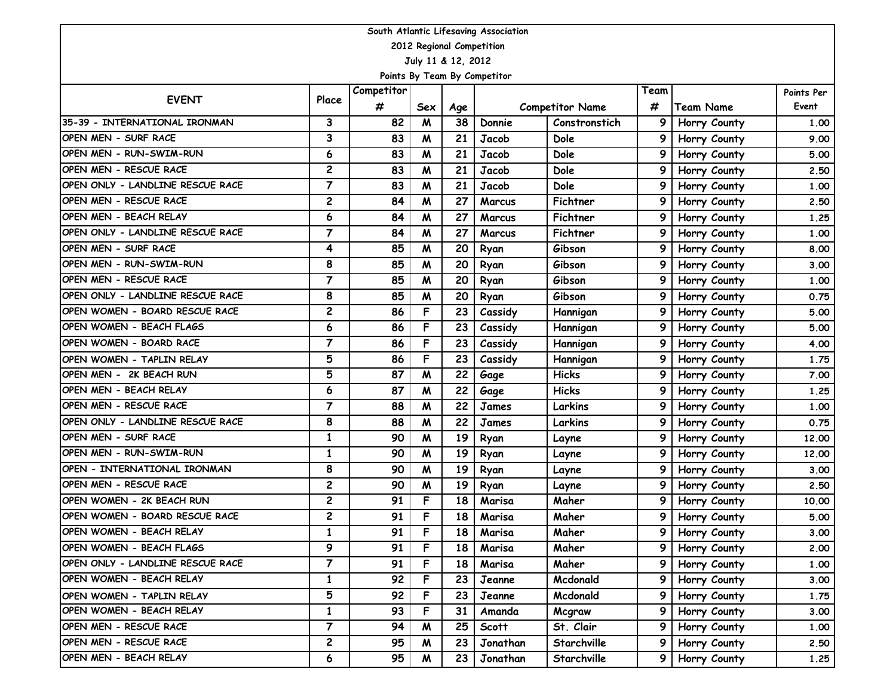| South Atlantic Lifesaving Association |                              |            |                  |     |               |                        |                |                  |            |  |  |  |  |  |
|---------------------------------------|------------------------------|------------|------------------|-----|---------------|------------------------|----------------|------------------|------------|--|--|--|--|--|
| 2012 Regional Competition             |                              |            |                  |     |               |                        |                |                  |            |  |  |  |  |  |
| July 11 & 12, 2012                    |                              |            |                  |     |               |                        |                |                  |            |  |  |  |  |  |
|                                       | Points By Team By Competitor |            |                  |     |               |                        |                |                  |            |  |  |  |  |  |
| <b>EVENT</b>                          | Place                        | Competitor |                  |     |               |                        | Team           |                  | Points Per |  |  |  |  |  |
|                                       |                              | #          | Sex              | Age |               | <b>Competitor Name</b> | #              | <b>Team Name</b> | Event      |  |  |  |  |  |
| 35-39 - INTERNATIONAL IRONMAN         | 3                            | 82         | $\boldsymbol{M}$ | 38  | Donnie        | Constronstich          | 9              | Horry County     | 1.00       |  |  |  |  |  |
| OPEN MEN - SURF RACE                  | 3                            | 83         | M                | 21  | Jacob         | <b>Dole</b>            | 9              | Horry County     | 9.00       |  |  |  |  |  |
| OPEN MEN - RUN-SWIM-RUN               | 6                            | 83         | M                | 21  | Jacob         | <b>Dole</b>            | 9              | Horry County     | 5.00       |  |  |  |  |  |
| OPEN MEN - RESCUE RACE                | $\overline{2}$               | 83         | M                | 21  | Jacob         | <b>Dole</b>            | 9              | Horry County     | 2.50       |  |  |  |  |  |
| OPEN ONLY - LANDLINE RESCUE RACE      | $\overline{7}$               | 83         | M                | 21  | Jacob         | <b>Dole</b>            | 9              | Horry County     | 1,00       |  |  |  |  |  |
| OPEN MEN - RESCUE RACE                | 2                            | 84         | M                | 27  | <b>Marcus</b> | Fichtner               | 9              | Horry County     | 2.50       |  |  |  |  |  |
| OPEN MEN - BEACH RELAY                | 6                            | 84         | M                | 27  | <b>Marcus</b> | Fichtner               | 9              | Horry County     | 1.25       |  |  |  |  |  |
| OPEN ONLY - LANDLINE RESCUE RACE      | $\overline{7}$               | 84         | M                | 27  | Marcus        | Fichtner               | 9              | Horry County     | 1,00       |  |  |  |  |  |
| OPEN MEN - SURF RACE                  | 4                            | 85         | M                | 20  | Ryan          | Gibson                 | 9              | Horry County     | 8.00       |  |  |  |  |  |
| OPEN MEN - RUN-SWIM-RUN               | 8                            | 85         | M                | 20  | Ryan          | Gibson                 | 9              | Horry County     | 3.00       |  |  |  |  |  |
| OPEN MEN - RESCUE RACE                | $\overline{7}$               | 85         | M                | 20  | Ryan          | Gibson                 | 9              | Horry County     | 1,00       |  |  |  |  |  |
| OPEN ONLY - LANDLINE RESCUE RACE      | 8                            | 85         | M                | 20  | Ryan          | Gibson                 | 9              | Horry County     | 0.75       |  |  |  |  |  |
| OPEN WOMEN - BOARD RESCUE RACE        | $\mathbf{2}$                 | 86         | F                | 23  | Cassidy       | Hannigan               | 9              | Horry County     | 5.00       |  |  |  |  |  |
| OPEN WOMEN - BEACH FLAGS              | 6                            | 86         | F                | 23  | Cassidy       | Hannigan               | 9              | Horry County     | 5.00       |  |  |  |  |  |
| OPEN WOMEN - BOARD RACE               | 7                            | 86         | F                | 23  | Cassidy       | Hannigan               | 9              | Horry County     | 4.00       |  |  |  |  |  |
| OPEN WOMEN - TAPLIN RELAY             | 5                            | 86         | F                | 23  | Cassidy       | Hannigan               | 9              | Horry County     | 1.75       |  |  |  |  |  |
| OPEN MEN - 2K BEACH RUN               | 5                            | 87         | M                | 22  | Gage          | <b>Hicks</b>           | 9              | Horry County     | 7.00       |  |  |  |  |  |
| OPEN MEN - BEACH RELAY                | 6                            | 87         | M                | 22  | Gage          | <b>Hicks</b>           | 9              | Horry County     | 1.25       |  |  |  |  |  |
| OPEN MEN - RESCUE RACE                | $\overline{7}$               | 88         | M                | 22  | James         | Larkins                | 9              | Horry County     | 1.00       |  |  |  |  |  |
| OPEN ONLY - LANDLINE RESCUE RACE      | 8                            | 88         | M                | 22  | James         | Larkins                | 9              | Horry County     | 0.75       |  |  |  |  |  |
| OPEN MEN - SURF RACE                  | $\mathbf{1}$                 | 90         | M                | 19  | Ryan          | Layne                  | 9              | Horry County     | 12.00      |  |  |  |  |  |
| OPEN MEN - RUN-SWIM-RUN               | $\mathbf{1}$                 | 90         | M                | 19  | Ryan          | Layne                  | 9              | Horry County     | 12,00      |  |  |  |  |  |
| OPEN - INTERNATIONAL IRONMAN          | 8                            | 90         | M                | 19  | Ryan          | Layne                  | 9              | Horry County     | 3.00       |  |  |  |  |  |
| OPEN MEN - RESCUE RACE                | $\mathbf{2}$                 | 90         | M                | 19  | Ryan          | Layne                  | 9              | Horry County     | 2.50       |  |  |  |  |  |
| OPEN WOMEN - 2K BEACH RUN             | 2                            | 91         | F                | 18  | Marisa        | Maher                  | 9              | Horry County     | 10.00      |  |  |  |  |  |
| OPEN WOMEN - BOARD RESCUE RACE        | 2                            | 91         | F                | 18  | Marisa        | Maher                  | 9              | Horry County     | 5.00       |  |  |  |  |  |
| OPEN WOMEN - BEACH RELAY              | $\mathbf{1}$                 | 91         | F                |     | 18 Marisa     | Maher                  |                | 9 Horry County   | 3.00       |  |  |  |  |  |
| OPEN WOMEN - BEACH FLAGS              | 9                            | 91         | F                | 18  | Marisa        | Maher                  |                | Horry County     | 2.00       |  |  |  |  |  |
| OPEN ONLY - LANDLINE RESCUE RACE      | 7                            | 91         | F                | 18  | Marisa        | Maher                  | 9              | Horry County     | 1.00       |  |  |  |  |  |
| OPEN WOMEN - BEACH RELAY              | $\mathbf{1}$                 | 92         | F                | 23  | Jeanne        | Mcdonald               | 9 <sup>1</sup> | Horry County     | 3.00       |  |  |  |  |  |
| OPEN WOMEN - TAPLIN RELAY             | 5                            | 92         | F                | 23  | Jeanne        | Mcdonald               | 9              | Horry County     | 1.75       |  |  |  |  |  |
| OPEN WOMEN - BEACH RELAY              | $\mathbf{1}$                 | 93         | F                | 31  | Amanda        | Mcgraw                 | 9              | Horry County     | 3.00       |  |  |  |  |  |
| OPEN MEN - RESCUE RACE                | $\overline{\mathbf{z}}$      | 94         | M                | 25  | Scott         | St. Clair              | 9              | Horry County     | 1.00       |  |  |  |  |  |
| OPEN MEN - RESCUE RACE                | 2                            | 95         | M                | 23  | Jonathan      | Starchville            | 9              | Horry County     | 2.50       |  |  |  |  |  |
| OPEN MEN - BEACH RELAY                | 6                            | 95         | M                | 23  | Jonathan      | Starchville            | 9              | Horry County     | 1.25       |  |  |  |  |  |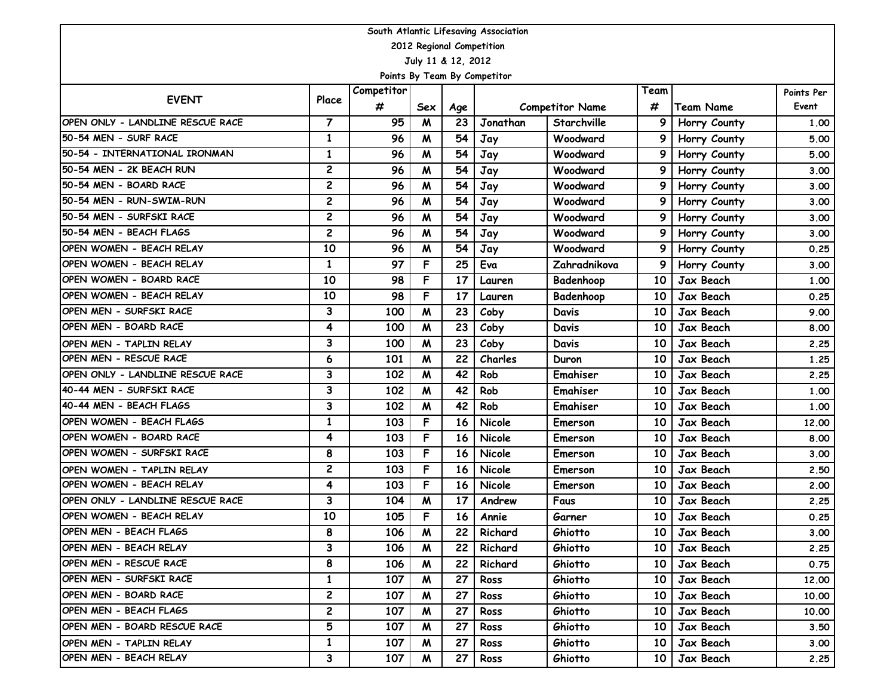| South Atlantic Lifesaving Association |                |            |                |     |                              |                        |      |                  |            |  |  |  |
|---------------------------------------|----------------|------------|----------------|-----|------------------------------|------------------------|------|------------------|------------|--|--|--|
| 2012 Regional Competition             |                |            |                |     |                              |                        |      |                  |            |  |  |  |
| July 11 & 12, 2012                    |                |            |                |     |                              |                        |      |                  |            |  |  |  |
|                                       |                |            |                |     | Points By Team By Competitor |                        |      |                  |            |  |  |  |
| <b>EVENT</b>                          | Place          | Competitor |                |     |                              |                        | Team |                  | Points Per |  |  |  |
|                                       |                | #          | Sex            | Age |                              | <b>Competitor Name</b> | #    | <b>Team Name</b> | Event      |  |  |  |
| OPEN ONLY - LANDLINE RESCUE RACE      | $\overline{7}$ | 95         | M              | 23  | Jonathan                     | Starchville            | 9    | Horry County     | 1.00       |  |  |  |
| 50-54 MEN - SURF RACE                 | $\mathbf{1}$   | 96         | M              | 54  | Jay                          | Woodward               | 9    | Horry County     | 5.00       |  |  |  |
| 50-54 - INTERNATIONAL IRONMAN         | $\mathbf{1}$   | 96         | M              | 54  | Jay                          | Woodward               | 9    | Horry County     | 5.00       |  |  |  |
| 50-54 MEN - 2K BEACH RUN              | $\mathbf{2}$   | 96         | M              | 54  | Jay                          | Woodward               | 9    | Horry County     | 3.00       |  |  |  |
| 50-54 MEN - BOARD RACE                | $\mathbf{2}$   | 96         | M              | 54  | Jay                          | Woodward               | 9    | Horry County     | 3.00       |  |  |  |
| 50-54 MEN - RUN-SWIM-RUN              | $\mathbf{2}$   | 96         | M              | 54  | Jay                          | Woodward               | 9    | Horry County     | 3.00       |  |  |  |
| 50-54 MEN - SURFSKI RACE              | $\mathbf{2}$   | 96         | M              | 54  | Jay                          | Woodward               | 9    | Horry County     | 3.00       |  |  |  |
| 50-54 MEN - BEACH FLAGS               | $\overline{2}$ | 96         | M              | 54  | Jay                          | Woodward               | 9    | Horry County     | 3.00       |  |  |  |
| OPEN WOMEN - BEACH RELAY              | 10             | 96         | M              | 54  | Jay                          | Woodward               | 9    | Horry County     | 0.25       |  |  |  |
| OPEN WOMEN - BEACH RELAY              | $\mathbf{1}$   | 97         | F              | 25  | Eva                          | Zahradnikova           | 9    | Horry County     | 3.00       |  |  |  |
| OPEN WOMEN - BOARD RACE               | 10             | 98         | F              | 17  | Lauren                       | Badenhoop              | 10   | Jax Beach        | 1.00       |  |  |  |
| OPEN WOMEN - BEACH RELAY              | 10             | 98         | F              | 17  | Lauren                       | Badenhoop              | 10   | Jax Beach        | 0.25       |  |  |  |
| OPEN MEN - SURFSKI RACE               | 3              | 100        | M              | 23  | Coby                         | <b>Davis</b>           | 10   | Jax Beach        | 9.00       |  |  |  |
| OPEN MEN - BOARD RACE                 | 4              | 100        | M              | 23  | Coby                         | <b>Davis</b>           | 10   | Jax Beach        | 8.00       |  |  |  |
| OPEN MEN - TAPLIN RELAY               | 3              | 100        | M              | 23  | Coby                         | Davis                  | 10   | Jax Beach        | 2.25       |  |  |  |
| OPEN MEN - RESCUE RACE                | 6              | 101        | M              | 22  | Charles                      | Duron                  | 10   | Jax Beach        | 1.25       |  |  |  |
| OPEN ONLY - LANDLINE RESCUE RACE      | 3              | 102        | M              | 42  | Rob                          | Emahiser               | 10   | Jax Beach        | 2.25       |  |  |  |
| 40-44 MEN - SURFSKI RACE              | 3              | 102        | M              | 42  | Rob                          | Emahiser               | 10   | Jax Beach        | 1.00       |  |  |  |
| 40-44 MEN - BEACH FLAGS               | 3              | 102        | M              | 42  | Rob                          | Emahiser               | 10   | Jax Beach        | 1.00       |  |  |  |
| OPEN WOMEN - BEACH FLAGS              | $\mathbf{1}$   | 103        | F              | 16  | Nicole                       | Emerson                | 10   | Jax Beach        | 12,00      |  |  |  |
| OPEN WOMEN - BOARD RACE               | 4              | 103        | F              | 16  | Nicole                       | <b>Emerson</b>         | 10   | Jax Beach        | 8.00       |  |  |  |
| OPEN WOMEN - SURFSKI RACE             | 8              | 103        | F              | 16  | Nicole                       | Emerson                | 10   | Jax Beach        | 3.00       |  |  |  |
| OPEN WOMEN - TAPLIN RELAY             | $\mathbf{2}$   | 103        | F              | 16  | Nicole                       | <b>Emerson</b>         | 10   | Jax Beach        | 2.50       |  |  |  |
| OPEN WOMEN - BEACH RELAY              | 4              | 103        | F              | 16  | Nicole                       | Emerson                | 10   | Jax Beach        | 2.00       |  |  |  |
| OPEN ONLY - LANDLINE RESCUE RACE      | 3              | 104        | M              | 17  | Andrew                       | Faus                   | 10   | Jax Beach        | 2.25       |  |  |  |
| OPEN WOMEN - BEACH RELAY              | 10             | 105        | F              | 16  | Annie                        | Garner                 | 10   | Jax Beach        | 0.25       |  |  |  |
| OPEN MEN - BEACH FLAGS                | 8              | 106        | $\overline{M}$ | 22  | Richard                      | Ghiotto                | 10   | Jax Beach        | 3.00       |  |  |  |
| IOPEN MEN - BEACH RELAY               | 3              | 106        | M              | 22  | Richard                      | Ghiotto                | 10   | Jax Beach        | 2.25       |  |  |  |
| <b>OPEN MEN - RESCUE RACE</b>         | 8              | 106        | M              | 22  | Richard                      | Ghiotto                | 10   | Jax Beach        | 0.75       |  |  |  |
| OPEN MEN - SURFSKI RACE               | 1              | 107        | M              | 27  | Ross                         | Ghiotto                | 10   | Jax Beach        | 12.00      |  |  |  |
| OPEN MEN - BOARD RACE                 | $\mathbf{2}$   | 107        | M              | 27  | Ross                         | Ghiotto                | 10   | Jax Beach        | 10.00      |  |  |  |
| OPEN MEN - BEACH FLAGS                | $\mathbf{2}$   | 107        | M              | 27  | Ross                         | Ghiotto                | 10   | Jax Beach        | 10.00      |  |  |  |
| OPEN MEN - BOARD RESCUE RACE          | 5              | 107        | M              | 27  | Ross                         | Ghiotto                | 10   | Jax Beach        | 3.50       |  |  |  |
| OPEN MEN - TAPLIN RELAY               | $\mathbf{1}$   | 107        | M              | 27  | Ross                         | Ghiotto                | 10   | Jax Beach        | 3.00       |  |  |  |
| OPEN MEN - BEACH RELAY                | 3              | 107        | M              | 27  | Ross                         | Ghiotto                | 10   | Jax Beach        | 2.25       |  |  |  |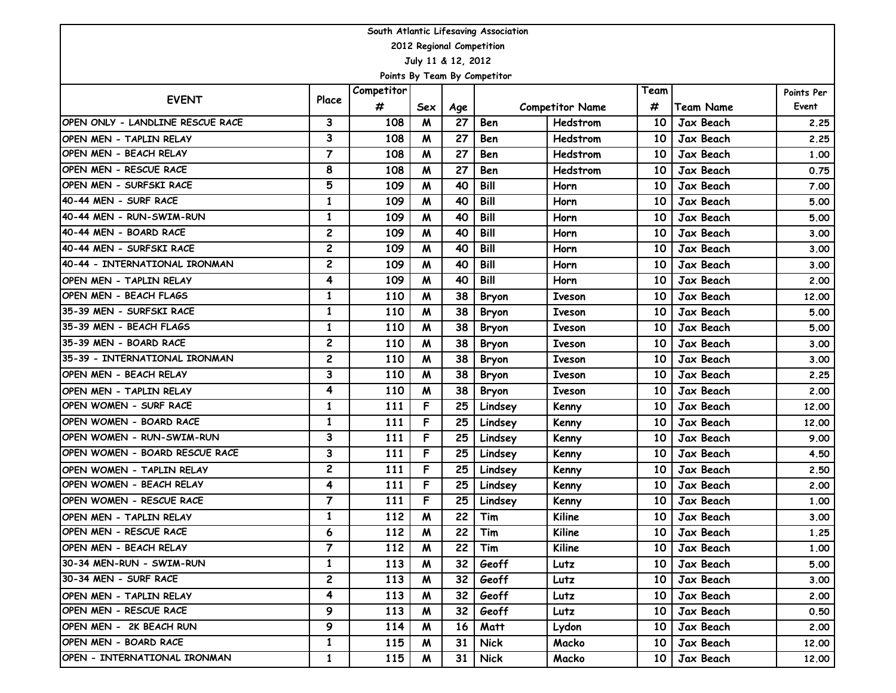| South Atlantic Lifesaving Association |                         |                  |                    |                 |              |                        |                 |                  |            |  |  |  |
|---------------------------------------|-------------------------|------------------|--------------------|-----------------|--------------|------------------------|-----------------|------------------|------------|--|--|--|
| 2012 Regional Competition             |                         |                  |                    |                 |              |                        |                 |                  |            |  |  |  |
| July 11 & 12, 2012                    |                         |                  |                    |                 |              |                        |                 |                  |            |  |  |  |
| Points By Team By Competitor          |                         |                  |                    |                 |              |                        |                 |                  |            |  |  |  |
| <b>EVENT</b>                          | Place                   | Competitor       |                    |                 |              |                        | Team            |                  | Points Per |  |  |  |
|                                       |                         | #                | Sex                | Age             |              | <b>Competitor Name</b> | #               | <b>Team Name</b> | Event      |  |  |  |
| OPEN ONLY - LANDLINE RESCUE RACE      | 3                       | 108              | M                  | 27              | Ben          | Hedstrom               | 10              | Jax Beach        | 2.25       |  |  |  |
| OPEN MEN - TAPLIN RELAY               | 3                       | 108              | M                  | 27              | Ben          | Hedstrom               | 10              | Jax Beach        | 2.25       |  |  |  |
| OPEN MEN - BEACH RELAY                | $\overline{7}$          | 108              | M                  | 27              | Ben          | Hedstrom               | 10              | Jax Beach        | 1.00       |  |  |  |
| OPEN MEN - RESCUE RACE                | 8                       | 108              | M                  | 27              | Ben          | Hedstrom               | 10              | Jax Beach        | 0.75       |  |  |  |
| OPEN MEN - SURFSKI RACE               | 5                       | 109              | M                  | 40              | <b>Bill</b>  | Horn                   | 10              | Jax Beach        | 7.00       |  |  |  |
| 40-44 MEN - SURF RACE                 | 1                       | 109              | M                  | 40              | <b>Bill</b>  | Horn                   | 10              | Jax Beach        | 5.00       |  |  |  |
| 40-44 MEN - RUN-SWIM-RUN              | $\mathbf{1}$            | 109              | M                  | 40              | <b>Bill</b>  | Horn                   | 10              | Jax Beach        | 5.00       |  |  |  |
| 40-44 MEN - BOARD RACE                | $\mathbf{2}$            | 109              | M                  | 40              | <b>Bill</b>  | Horn                   | 10              | Jax Beach        | 3.00       |  |  |  |
| 40-44 MEN - SURFSKI RACE              | $\mathbf{2}$            | 109              | M                  | 40              | <b>Bill</b>  | Horn                   | 10              | Jax Beach        | 3.00       |  |  |  |
| 40-44 - INTERNATIONAL IRONMAN         | $\mathbf{2}$            | 109              | M                  | 40              | <b>Bill</b>  | Horn                   | 10              | Jax Beach        | 3.00       |  |  |  |
| OPEN MEN - TAPLIN RELAY               | 4                       | 109              | M                  | 40              | <b>Bill</b>  | Horn                   | 10              | Jax Beach        | 2.00       |  |  |  |
| OPEN MEN - BEACH FLAGS                | $\mathbf{1}$            | 110              | M                  | 38              | <b>Bryon</b> | <b>Iveson</b>          | 10              | Jax Beach        | 12.00      |  |  |  |
| 35-39 MEN - SURFSKI RACE              | $\mathbf{1}$            | 110              | M                  | 38              | <b>Bryon</b> | <b>Iveson</b>          | 10              | Jax Beach        | 5.00       |  |  |  |
| 35-39 MEN - BEACH FLAGS               | $\mathbf{1}$            | 110              | м                  | 38              | <b>Bryon</b> | <b>Iveson</b>          | 10              | Jax Beach        | 5.00       |  |  |  |
| 35-39 MEN - BOARD RACE                | $\mathbf{2}$            | 110              | M                  | 38              | <b>Bryon</b> | <b>Iveson</b>          | 10              | Jax Beach        | 3.00       |  |  |  |
| 35-39 - INTERNATIONAL IRONMAN         | $\mathbf{2}$            | 110              | M                  | 38              | <b>Bryon</b> | <b>Iveson</b>          | 10              | Jax Beach        | 3.00       |  |  |  |
| OPEN MEN - BEACH RELAY                | 3                       | 110              | M                  | 38              | <b>Bryon</b> | <b>Iveson</b>          | 10              | Jax Beach        | 2.25       |  |  |  |
| OPEN MEN - TAPLIN RELAY               | 4                       | 110              | M                  | 38              | <b>Bryon</b> | <b>Iveson</b>          | 10              | Jax Beach        | 2.00       |  |  |  |
| OPEN WOMEN - SURF RACE                | $\mathbf{1}$            | 111              | F                  | 25              | Lindsey      | Kenny                  | 10              | Jax Beach        | 12,00      |  |  |  |
| OPEN WOMEN - BOARD RACE               | $\mathbf{1}$            | 111              | F                  | 25              | Lindsey      | Kenny                  | 10              | Jax Beach        | 12,00      |  |  |  |
| OPEN WOMEN - RUN-SWIM-RUN             | 3                       | 111              | F                  | 25              | Lindsey      | Kenny                  | 10              | Jax Beach        | 9.00       |  |  |  |
| OPEN WOMEN - BOARD RESCUE RACE        | 3                       | 111              | F                  | 25              | Lindsey      | Kenny                  | 10              | Jax Beach        | 4.50       |  |  |  |
| OPEN WOMEN - TAPLIN RELAY             | $\mathbf{2}$            | 111              | F                  | 25              | Lindsey      | Kenny                  | 10              | Jax Beach        | 2.50       |  |  |  |
| OPEN WOMEN - BEACH RELAY              | 4                       | 111              | F                  | 25              | Lindsey      | Kenny                  | 10              | Jax Beach        | 2.00       |  |  |  |
| OPEN WOMEN - RESCUE RACE              | 7                       | 111              | F                  | 25              | Lindsey      | Kenny                  | 10              | Jax Beach        | 1.00       |  |  |  |
| OPEN MEN - TAPLIN RELAY               | $\mathbf{1}$            | 112              | M                  | 22              | Tim          | <b>Kiline</b>          | 10              | Jax Beach        | 3.00       |  |  |  |
| OPEN MEN - RESCUE RACE                | 6                       | $\overline{112}$ | $\pmb{\mathsf{M}}$ |                 | $22$ Tim     | Kiline                 | 10 <sup>1</sup> | Jax Beach        | 1.25       |  |  |  |
| OPEN MEN - BEACH RELAY                | $\overline{\mathbf{z}}$ | 112              | M                  | 22              | Tim          | Kiline                 | 10              | Jax Beach        | 1.00       |  |  |  |
| 30-34 MEN-RUN - SWIM-RUN              | $\mathbf{1}$            | 113              | M                  | 32              | Geoff        | Lutz                   | 10              | Jax Beach        | 5.00       |  |  |  |
| 30-34 MEN - SURF RACE                 | $\mathbf{2}$            | 113              | M                  | 32 <sub>1</sub> | Geoff        | Lutz                   | 10              | Jax Beach        | 3.00       |  |  |  |
| OPEN MEN - TAPLIN RELAY               | 4                       | 113              | M                  | 32              | Geoff        | Lutz                   | 10              | Jax Beach        | 2.00       |  |  |  |
| OPEN MEN - RESCUE RACE                | 9                       | 113              | M                  | 32 <sub>1</sub> | Geoff        | Lutz                   | 10              | Jax Beach        | 0.50       |  |  |  |
| OPEN MEN - 2K BEACH RUN               | 9                       | 114              | M                  | 16 <sup>1</sup> | Matt         | Lydon                  | 10              | Jax Beach        | 2.00       |  |  |  |
| OPEN MEN - BOARD RACE                 | $\mathbf{1}$            | 115              | M                  | 31              | <b>Nick</b>  | Macko                  | 10              | Jax Beach        | 12.00      |  |  |  |
| OPEN - INTERNATIONAL IRONMAN          | $\mathbf{1}$            | 115              | M                  | 31              | <b>Nick</b>  | Macko                  | 10 I            | Jax Beach        | 12.00      |  |  |  |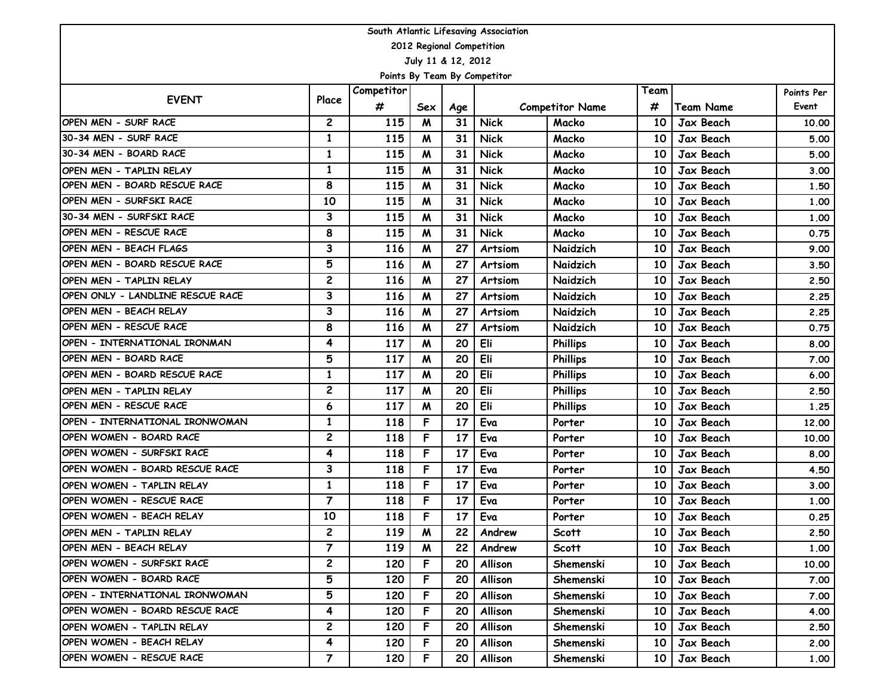| South Atlantic Lifesaving Association |                              |            |                    |     |                |                        |      |                  |            |  |  |  |  |  |
|---------------------------------------|------------------------------|------------|--------------------|-----|----------------|------------------------|------|------------------|------------|--|--|--|--|--|
| 2012 Regional Competition             |                              |            |                    |     |                |                        |      |                  |            |  |  |  |  |  |
| July 11 & 12, 2012                    |                              |            |                    |     |                |                        |      |                  |            |  |  |  |  |  |
|                                       | Points By Team By Competitor |            |                    |     |                |                        |      |                  |            |  |  |  |  |  |
| <b>EVENT</b>                          | Place                        | Competitor |                    |     |                |                        | Team |                  | Points Per |  |  |  |  |  |
|                                       |                              | #          | Sex                | Age |                | <b>Competitor Name</b> | #    | <b>Team Name</b> | Event      |  |  |  |  |  |
| OPEN MEN - SURF RACE                  | $\mathbf{2}$                 | 115        | M                  | 31  | <b>Nick</b>    | Macko                  | 10   | Jax Beach        | 10.00      |  |  |  |  |  |
| 30-34 MEN - SURF RACE                 | $\mathbf{1}$                 | 115        | M                  | 31  | <b>Nick</b>    | Macko                  | 10   | Jax Beach        | 5.00       |  |  |  |  |  |
| 30-34 MEN - BOARD RACE                | $\mathbf{1}$                 | 115        | M                  | 31  | <b>Nick</b>    | Macko                  | 10   | Jax Beach        | 5.00       |  |  |  |  |  |
| OPEN MEN - TAPLIN RELAY               | $\mathbf{1}$                 | 115        | M                  | 31  | <b>Nick</b>    | Macko                  | 10   | Jax Beach        | 3.00       |  |  |  |  |  |
| OPEN MEN - BOARD RESCUE RACE          | 8                            | 115        | M                  | 31  | <b>Nick</b>    | Macko                  | 10   | Jax Beach        | 1.50       |  |  |  |  |  |
| OPEN MEN - SURFSKI RACE               | 10                           | 115        | M                  | 31  | <b>Nick</b>    | Macko                  | 10   | Jax Beach        | 1.00       |  |  |  |  |  |
| 30-34 MEN - SURFSKI RACE              | 3                            | 115        | M                  | 31  | <b>Nick</b>    | Macko                  | 10   | Jax Beach        | 1.00       |  |  |  |  |  |
| OPEN MEN - RESCUE RACE                | 8                            | 115        | M                  | 31  | <b>Nick</b>    | Macko                  | 10   | Jax Beach        | 0.75       |  |  |  |  |  |
| OPEN MEN - BEACH FLAGS                | 3                            | 116        | M                  | 27  | Artsiom        | Naidzich               | 10   | Jax Beach        | 9.00       |  |  |  |  |  |
| OPEN MEN - BOARD RESCUE RACE          | 5                            | 116        | M                  | 27  | Artsiom        | Naidzich               | 10   | Jax Beach        | 3.50       |  |  |  |  |  |
| OPEN MEN - TAPLIN RELAY               | $\mathbf{2}$                 | 116        | M                  | 27  | Artsiom        | Naidzich               | 10   | Jax Beach        | 2.50       |  |  |  |  |  |
| OPEN ONLY - LANDLINE RESCUE RACE      | 3                            | 116        | M                  | 27  | Artsiom        | Naidzich               | 10   | Jax Beach        | 2.25       |  |  |  |  |  |
| OPEN MEN - BEACH RELAY                | 3                            | 116        | M                  | 27  | Artsiom        | Naidzich               | 10   | Jax Beach        | 2.25       |  |  |  |  |  |
| OPEN MEN - RESCUE RACE                | 8                            | 116        | M                  | 27  | <b>Artsiom</b> | Naidzich               | 10   | Jax Beach        | 0.75       |  |  |  |  |  |
| OPEN - INTERNATIONAL IRONMAN          | 4                            | 117        | M                  | 20  | Eli            | <b>Phillips</b>        | 10   | Jax Beach        | 8.00       |  |  |  |  |  |
| OPEN MEN - BOARD RACE                 | 5                            | 117        | M                  | 20  | Eli            | <b>Phillips</b>        | 10   | Jax Beach        | 7.00       |  |  |  |  |  |
| OPEN MEN - BOARD RESCUE RACE          | $\mathbf{1}$                 | 117        | M                  | 20  | Eli            | <b>Phillips</b>        | 10   | Jax Beach        | 6.00       |  |  |  |  |  |
| OPEN MEN - TAPLIN RELAY               | $\mathbf{2}$                 | 117        | M                  | 20  | Eli            | <b>Phillips</b>        | 10   | Jax Beach        | 2.50       |  |  |  |  |  |
| OPEN MEN - RESCUE RACE                | 6                            | 117        | M                  | 20  | Eli            | <b>Phillips</b>        | 10   | Jax Beach        | 1.25       |  |  |  |  |  |
| OPEN - INTERNATIONAL IRONWOMAN        | $\mathbf{1}$                 | 118        | F                  | 17  | Eva            | Porter                 | 10   | Jax Beach        | 12,00      |  |  |  |  |  |
| OPEN WOMEN - BOARD RACE               | $\mathbf{2}$                 | 118        | F                  | 17  | Eva            | Porter                 | 10   | Jax Beach        | 10.00      |  |  |  |  |  |
| IOPEN WOMEN - SURFSKI RACE            | 4                            | 118        | F                  | 17  | Eva            | Porter                 | 10   | Jax Beach        | 8.00       |  |  |  |  |  |
| OPEN WOMEN - BOARD RESCUE RACE        | 3                            | 118        | F                  | 17  | Eva            | Porter                 | 10   | Jax Beach        | 4.50       |  |  |  |  |  |
| OPEN WOMEN - TAPLIN RELAY             | $\mathbf{1}$                 | 118        | F                  | 17  | Eva            | Porter                 | 10   | Jax Beach        | 3.00       |  |  |  |  |  |
| IOPEN WOMEN - RESCUE RACE             | 7                            | 118        | F                  | 17  | Eva            | Porter                 | 10   | Jax Beach        | 1.00       |  |  |  |  |  |
| OPEN WOMEN - BEACH RELAY              | 10                           | 118        | F                  | 17  | Eva            | Porter                 | 10   | Jax Beach        | 0.25       |  |  |  |  |  |
| OPEN MEN - TAPLIN RELAY               | $\mathbf{2}$                 | 119        | $\pmb{\mathsf{M}}$ | 22  | Andrew         | Scott                  |      | 10 Jax Beach     | 2.50       |  |  |  |  |  |
| OPEN MEN - BEACH RELAY                | $\overline{7}$               | 119        | M                  | 22  | Andrew         | Scott                  | 10   | Jax Beach        | 1.00       |  |  |  |  |  |
| OPEN WOMEN - SURFSKI RACE             | $\mathbf{2}$                 | 120        | F                  | 20  | Allison        | Shemenski              | 10   | Jax Beach        | 10.00      |  |  |  |  |  |
| OPEN WOMEN - BOARD RACE               | 5                            | 120        | F                  | 20  | Allison        | Shemenski              | 10   | Jax Beach        | 7.00       |  |  |  |  |  |
| OPEN - INTERNATIONAL IRONWOMAN        | 5                            | 120        | F.                 | 20  | Allison        | Shemenski              | 10   | Jax Beach        | 7.00       |  |  |  |  |  |
| OPEN WOMEN - BOARD RESCUE RACE        | 4                            | 120        | F                  | 20  | Allison        | Shemenski              | 10   | Jax Beach        | 4.00       |  |  |  |  |  |
| OPEN WOMEN - TAPLIN RELAY             | $\mathbf{2}$                 | 120        | F                  | 20  | Allison        | Shemenski              | 10   | Jax Beach        | 2.50       |  |  |  |  |  |
| OPEN WOMEN - BEACH RELAY              | 4                            | 120        | F                  | 20  | Allison        | Shemenski              | 10   | Jax Beach        | 2.00       |  |  |  |  |  |
| OPEN WOMEN - RESCUE RACE              | 7 <sup>7</sup>               | 120        | F.                 | 20  | Allison        | Shemenski              | 10 I | Jax Beach        | 1.00       |  |  |  |  |  |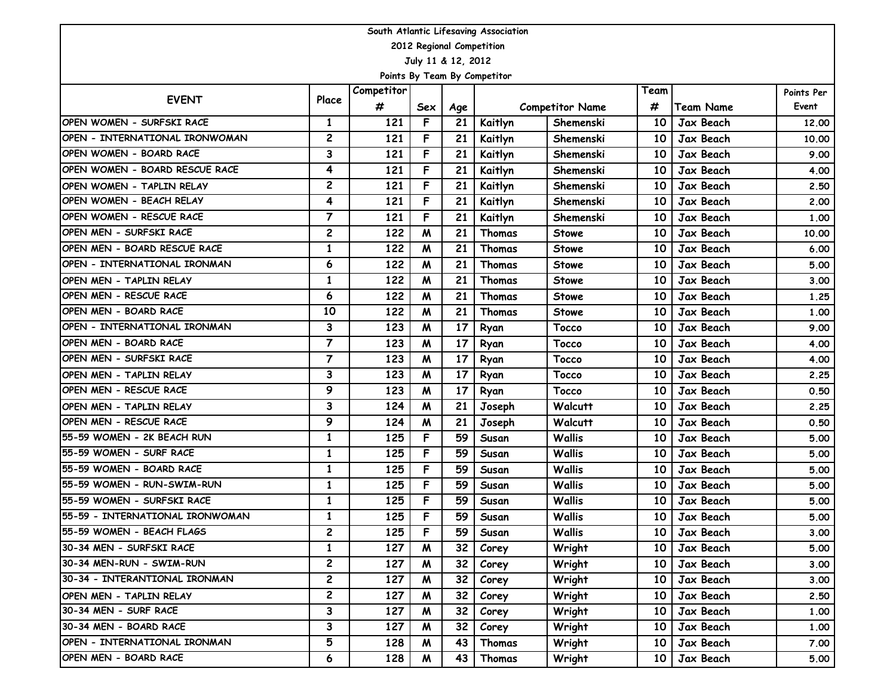| South Atlantic Lifesaving Association |                              |                   |     |     |         |                        |      |                  |            |  |  |  |  |
|---------------------------------------|------------------------------|-------------------|-----|-----|---------|------------------------|------|------------------|------------|--|--|--|--|
| 2012 Regional Competition             |                              |                   |     |     |         |                        |      |                  |            |  |  |  |  |
| July 11 & 12, 2012                    |                              |                   |     |     |         |                        |      |                  |            |  |  |  |  |
|                                       | Points By Team By Competitor |                   |     |     |         |                        |      |                  |            |  |  |  |  |
| <b>EVENT</b>                          | Place                        | Competitor        |     |     |         |                        | Team |                  | Points Per |  |  |  |  |
|                                       |                              | #                 | Sex | Age |         | <b>Competitor Name</b> | #    | <b>Team Name</b> | Event      |  |  |  |  |
| OPEN WOMEN - SURFSKI RACE             | $\mathbf{1}$                 | 121               | F   | 21  | Kaitlyn | Shemenski              | 10   | Jax Beach        | 12,00      |  |  |  |  |
| OPEN - INTERNATIONAL IRONWOMAN        | $\mathbf{2}$                 | 121               | F   | 21  | Kaitlyn | Shemenski              | 10   | Jax Beach        | 10.00      |  |  |  |  |
| OPEN WOMEN - BOARD RACE               | 3                            | 121               | F   | 21  | Kaitlyn | Shemenski              | 10   | Jax Beach        | 9.00       |  |  |  |  |
| OPEN WOMEN - BOARD RESCUE RACE        | 4                            | 121               | F   | 21  | Kaitlyn | Shemenski              | 10   | Jax Beach        | 4.00       |  |  |  |  |
| OPEN WOMEN - TAPLIN RELAY             | $\mathbf{2}$                 | 121               | F   | 21  | Kaitlyn | Shemenski              | 10   | Jax Beach        | 2.50       |  |  |  |  |
| OPEN WOMEN - BEACH RELAY              | 4                            | 121               | F   | 21  | Kaitlyn | Shemenski              | 10   | Jax Beach        | 2.00       |  |  |  |  |
| OPEN WOMEN - RESCUE RACE              | $\overline{7}$               | 121               | F   | 21  | Kaitlyn | Shemenski              | 10   | Jax Beach        | 1.00       |  |  |  |  |
| OPEN MEN - SURFSKI RACE               | $\mathbf{2}$                 | 122               | M   | 21  | Thomas  | <b>Stowe</b>           | 10   | Jax Beach        | 10.00      |  |  |  |  |
| OPEN MEN - BOARD RESCUE RACE          | $\mathbf{1}$                 | 122               | M   | 21  | Thomas  | <b>Stowe</b>           | 10   | Jax Beach        | 6.00       |  |  |  |  |
| OPEN - INTERNATIONAL IRONMAN          | 6                            | 122               | M   | 21  | Thomas  | <b>Stowe</b>           | 10   | Jax Beach        | 5.00       |  |  |  |  |
| OPEN MEN - TAPLIN RELAY               | $\mathbf{1}$                 | 122               | M   | 21  | Thomas  | <b>Stowe</b>           | 10   | Jax Beach        | 3.00       |  |  |  |  |
| OPEN MEN - RESCUE RACE                | 6                            | 122               | M   | 21  | Thomas  | <b>Stowe</b>           | 10   | Jax Beach        | 1.25       |  |  |  |  |
| OPEN MEN - BOARD RACE                 | 10                           | 122               | M   | 21  | Thomas  | <b>Stowe</b>           | 10   | Jax Beach        | 1.00       |  |  |  |  |
| OPEN - INTERNATIONAL IRONMAN          | 3                            | 123               | M   | 17  | Ryan    | <b>Tocco</b>           | 10   | Jax Beach        | 9.00       |  |  |  |  |
| OPEN MEN - BOARD RACE                 | $\overline{7}$               | 123               | M   | 17  | Ryan    | <b>Tocco</b>           | 10   | Jax Beach        | 4.00       |  |  |  |  |
| OPEN MEN - SURFSKI RACE               | 7                            | 123               | M   | 17  | Ryan    | <b>Tocco</b>           | 10   | Jax Beach        | 4.00       |  |  |  |  |
| OPEN MEN - TAPLIN RELAY               | 3                            | 123               | M   | 17  | Ryan    | <b>Tocco</b>           | 10   | Jax Beach        | 2.25       |  |  |  |  |
| OPEN MEN - RESCUE RACE                | 9                            | 123               | M   | 17  | Ryan    | <b>Tocco</b>           | 10   | Jax Beach        | 0.50       |  |  |  |  |
| OPEN MEN - TAPLIN RELAY               | 3                            | 124               | M   | 21  | Joseph  | <b>Walcutt</b>         | 10   | Jax Beach        | 2.25       |  |  |  |  |
| OPEN MEN - RESCUE RACE                | 9                            | 124               | M   | 21  | Joseph  | Walcutt                | 10   | Jax Beach        | 0.50       |  |  |  |  |
| 55-59 WOMEN - 2K BEACH RUN            | $\mathbf{1}$                 | 125               | F   | 59  | Susan   | <b>Wallis</b>          | 10   | Jax Beach        | 5.00       |  |  |  |  |
| 55-59 WOMEN - SURF RACE               | 1                            | 125               | F   | 59  | Susan   | Wallis                 | 10   | Jax Beach        | 5.00       |  |  |  |  |
| 155-59 WOMEN - BOARD RACE             | $\mathbf{1}$                 | 125               | F   | 59  | Susan   | <b>Wallis</b>          | 10   | Jax Beach        | 5.00       |  |  |  |  |
| 55-59 WOMEN - RUN-SWIM-RUN            | $\mathbf{1}$                 | 125               | F   | 59  | Susan   | <b>Wallis</b>          | 10   | Jax Beach        | 5.00       |  |  |  |  |
| 55-59 WOMEN - SURFSKI RACE            | $\mathbf{1}$                 | 125               | F   | 59  | Susan   | <b>Wallis</b>          | 10   | Jax Beach        | 5.00       |  |  |  |  |
| 55-59 - INTERNATIONAL IRONWOMAN       | $\mathbf{1}$                 | 125               | F   | 59  | Susan   | Wallis                 | 10   | Jax Beach        | 5.00       |  |  |  |  |
| 55-59 WOMEN - BEACH FLAGS             | 2                            | $\frac{125}{125}$ | F   | 59  | Susan   | <b>Wallis</b>          | 10   | Jax Beach        | 3.00       |  |  |  |  |
| 30-34 MEN - SURFSKI RACE              | $\mathbf{1}$                 | 127               | M   | 32  | Corey   | Wright                 | 10   | Jax Beach        | 5.00       |  |  |  |  |
| 30-34 MEN-RUN - SWIM-RUN              | $\mathbf{2}$                 | 127               | M   | 32  | Corey   | Wright                 | 10   | Jax Beach        | 3.00       |  |  |  |  |
| 30-34 - INTERANTIONAL IRONMAN         | $\overline{\mathbf{c}}$      | 127               | M   | 32  | Corey   | Wright                 | 10   | Jax Beach        | 3.00       |  |  |  |  |
| OPEN MEN - TAPLIN RELAY               | $\overline{\mathbf{c}}$      | 127               | M   | 32  | Corey   | Wright                 | 10   | Jax Beach        | 2.50       |  |  |  |  |
| 30-34 MEN - SURF RACE                 | 3                            | 127               | M   | 32  | Corey   | Wright                 | 10   | Jax Beach        | 1.00       |  |  |  |  |
| 30-34 MEN - BOARD RACE                | 3                            | 127               | M   | 32  | Corey   | Wright                 | 10   | Jax Beach        | 1.00       |  |  |  |  |
| OPEN - INTERNATIONAL IRONMAN          | 5                            | 128               | M   | 43  | Thomas  | Wright                 | 10   | Jax Beach        | 7.00       |  |  |  |  |
| OPEN MEN - BOARD RACE                 | 6                            | 128               | M   | 43  | Thomas  | Wright                 | 10   | Jax Beach        | 5.00       |  |  |  |  |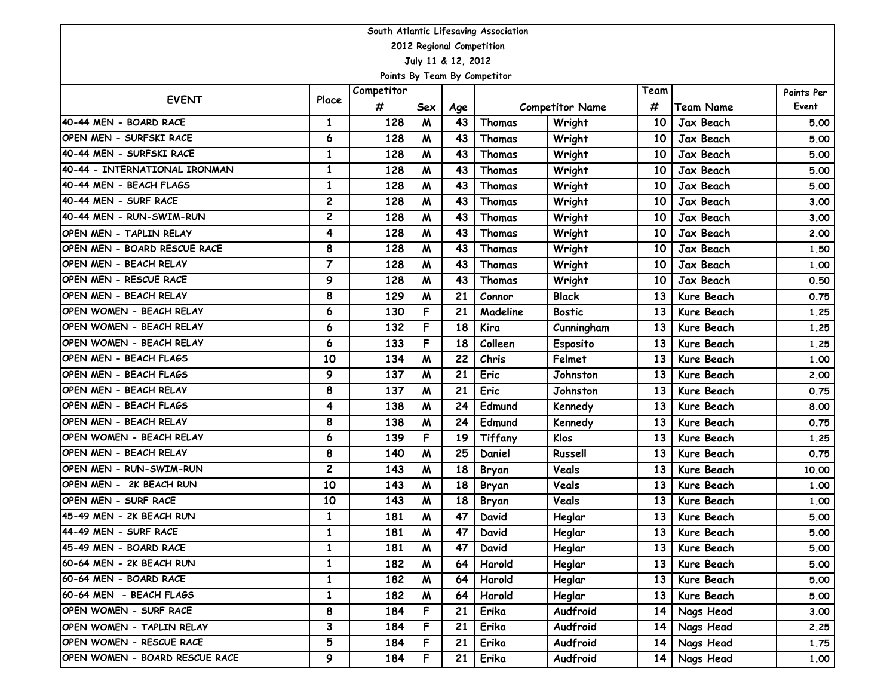| South Atlantic Lifesaving Association |                |            |                           |     |                              |                        |      |                   |            |  |  |  |
|---------------------------------------|----------------|------------|---------------------------|-----|------------------------------|------------------------|------|-------------------|------------|--|--|--|
| 2012 Regional Competition             |                |            |                           |     |                              |                        |      |                   |            |  |  |  |
| July 11 & 12, 2012                    |                |            |                           |     |                              |                        |      |                   |            |  |  |  |
|                                       |                |            |                           |     | Points By Team By Competitor |                        |      |                   |            |  |  |  |
| <b>EVENT</b>                          | Place          | Competitor |                           |     |                              |                        | Team |                   | Points Per |  |  |  |
|                                       |                | #          | Sex                       | Age |                              | <b>Competitor Name</b> | #    | <b>Team Name</b>  | Event      |  |  |  |
| 40-44 MEN - BOARD RACE                | 1              | 128        | M                         | 43  | Thomas                       | Wright                 | 10   | Jax Beach         | 5.00       |  |  |  |
| OPEN MEN - SURFSKI RACE               | 6              | 128        | M                         | 43  | Thomas                       | Wright                 | 10   | Jax Beach         | 5.00       |  |  |  |
| 40-44 MEN - SURFSKI RACE              | $\mathbf{1}$   | 128        | M                         | 43  | Thomas                       | Wright                 | 10   | Jax Beach         | 5.00       |  |  |  |
| 40-44 - INTERNATIONAL IRONMAN         | $\mathbf{1}$   | 128        | M                         | 43  | Thomas                       | Wright                 | 10   | Jax Beach         | 5.00       |  |  |  |
| 40-44 MEN - BEACH FLAGS               | $\mathbf{1}$   | 128        | M                         | 43  | Thomas                       | Wright                 | 10   | Jax Beach         | 5.00       |  |  |  |
| 40-44 MEN - SURF RACE                 | 2              | 128        | M                         | 43  | Thomas                       | Wright                 | 10   | Jax Beach         | 3.00       |  |  |  |
| 40-44 MEN - RUN-SWIM-RUN              | $\mathbf{2}$   | 128        | M                         | 43  | <b>Thomas</b>                | Wright                 | 10   | Jax Beach         | 3.00       |  |  |  |
| OPEN MEN - TAPLIN RELAY               | 4              | 128        | M                         | 43  | Thomas                       | Wright                 | 10   | Jax Beach         | 2.00       |  |  |  |
| OPEN MEN - BOARD RESCUE RACE          | 8              | 128        | M                         | 43  | Thomas                       | Wright                 | 10   | Jax Beach         | 1.50       |  |  |  |
| OPEN MEN - BEACH RELAY                | $\overline{7}$ | 128        | M                         | 43  | Thomas                       | Wright                 | 10   | Jax Beach         | 1.00       |  |  |  |
| OPEN MEN - RESCUE RACE                | 9              | 128        | M                         | 43  | Thomas                       | Wright                 | 10   | Jax Beach         | 0.50       |  |  |  |
| OPEN MEN - BEACH RELAY                | 8              | 129        | M                         | 21  | Connor                       | <b>Black</b>           | 13   | Kure Beach        | 0.75       |  |  |  |
| OPEN WOMEN - BEACH RELAY              | 6              | 130        | F                         | 21  | Madeline                     | <b>Bostic</b>          | 13   | <b>Kure Beach</b> | 1.25       |  |  |  |
| OPEN WOMEN - BEACH RELAY              | 6              | 132        | F                         | 18  | Kira                         | Cunningham             | 13   | <b>Kure Beach</b> | 1.25       |  |  |  |
| OPEN WOMEN - BEACH RELAY              | 6              | 133        | F                         | 18  | Colleen                      | Esposito               | 13   | <b>Kure Beach</b> | 1.25       |  |  |  |
| OPEN MEN - BEACH FLAGS                | 10             | 134        | M                         | 22  | Chris                        | Felmet                 | 13   | Kure Beach        | 1.00       |  |  |  |
| OPEN MEN - BEACH FLAGS                | 9              | 137        | M                         | 21  | Eric                         | Johnston               | 13   | <b>Kure Beach</b> | 2.00       |  |  |  |
| OPEN MEN - BEACH RELAY                | 8              | 137        | M                         | 21  | Eric                         | Johnston               | 13   | Kure Beach        | 0.75       |  |  |  |
| OPEN MEN - BEACH FLAGS                | 4              | 138        | M                         | 24  | Edmund                       | Kennedy                | 13   | Kure Beach        | 8.00       |  |  |  |
| OPEN MEN - BEACH RELAY                | 8              | 138        | M                         | 24  | Edmund                       | Kennedy                | 13   | <b>Kure Beach</b> | 0.75       |  |  |  |
| OPEN WOMEN - BEACH RELAY              | 6              | 139        | F                         | 19  | Tiffany                      | <b>Klos</b>            | 13   | Kure Beach        | 1.25       |  |  |  |
| OPEN MEN - BEACH RELAY                | 8              | 140        | M                         | 25  | Daniel                       | <b>Russell</b>         | 13   | <b>Kure Beach</b> | 0.75       |  |  |  |
| OPEN MEN - RUN-SWIM-RUN               | $\mathbf{2}$   | 143        | M                         | 18  | Bryan                        | Veals                  | 13   | Kure Beach        | 10.00      |  |  |  |
| OPEN MEN - 2K BEACH RUN               | 10             | 143        | м                         | 18  | Bryan                        | Veals                  | 13   | Kure Beach        | 1.00       |  |  |  |
| OPEN MEN - SURF RACE                  | 10             | 143        | M                         | 18  | Bryan                        | Veals                  | 13   | Kure Beach        | 1.00       |  |  |  |
| 45-49 MEN - 2K BEACH RUN              | $\mathbf{1}$   | 181        | $\boldsymbol{\mathsf{M}}$ | 47  | David                        | Heglar                 | 13   | Kure Beach        | 5.00       |  |  |  |
| 44-49 MEN - SURF RACE                 | $\mathbf{1}$   | 181        | $\pmb{\mathsf{M}}$        | 47  | David                        | Heglar                 |      | 13 Kure Beach     | 5.00       |  |  |  |
| 45-49 MEN - BOARD RACE                | $\mathbf{1}$   | 181        | M                         | 47  | David                        | Heglar                 | 13   | Kure Beach        | 5.00       |  |  |  |
| 60-64 MEN - 2K BEACH RUN              | $\mathbf{1}$   | 182        | M                         | 64  | Harold                       | Heglar                 | 13   | Kure Beach        | 5.00       |  |  |  |
| 60-64 MEN - BOARD RACE                | $\mathbf{1}$   | 182        | M                         | 64  | Harold                       | Heglar                 | 13   | Kure Beach        | 5.00       |  |  |  |
| 60-64 MEN - BEACH FLAGS               | $\mathbf{1}$   | 182        | M                         | 64  | Harold                       | Heglar                 | 13   | Kure Beach        | 5.00       |  |  |  |
| OPEN WOMEN - SURF RACE                | 8              | 184        | F                         | 21  | Erika                        | Audfroid               | 14   | Nags Head         | 3.00       |  |  |  |
| OPEN WOMEN - TAPLIN RELAY             | 3              | 184        | F                         | 21  | Erika                        | Audfroid               | 14   | Nags Head         | 2.25       |  |  |  |
| OPEN WOMEN - RESCUE RACE              | 5              | 184        | F                         | 21  | Erika                        | Audfroid               | 14   | Nags Head         | 1.75       |  |  |  |
| OPEN WOMEN - BOARD RESCUE RACE        | 9              | 184        | F                         | 21  | Erika                        | Audfroid               | 14   | Nags Head         | 1.00       |  |  |  |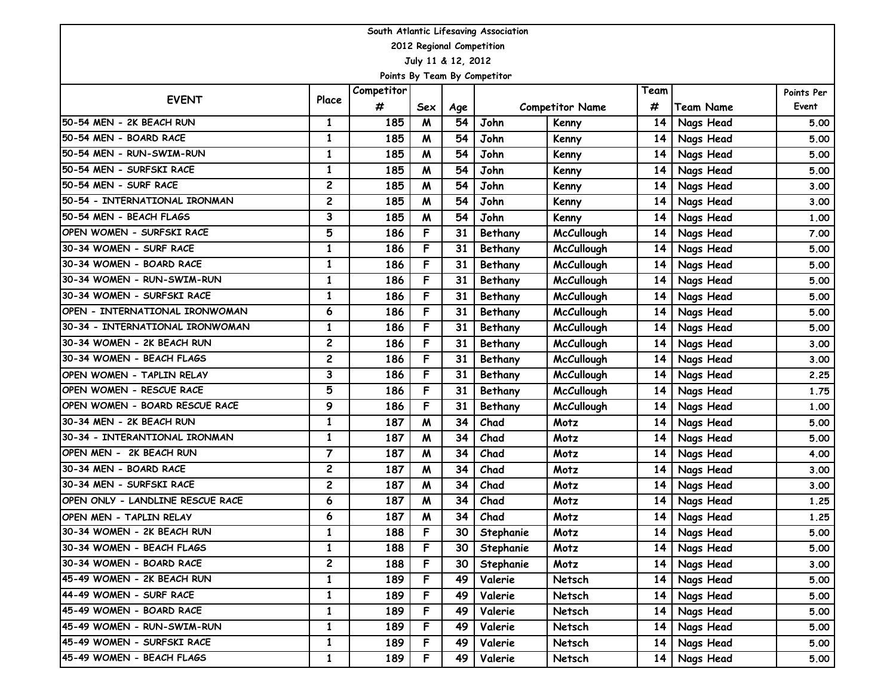|                                  |              |            |                           |                           | South Atlantic Lifesaving Association |                        |                 |                  |            |
|----------------------------------|--------------|------------|---------------------------|---------------------------|---------------------------------------|------------------------|-----------------|------------------|------------|
|                                  |              |            |                           | 2012 Regional Competition |                                       |                        |                 |                  |            |
|                                  |              |            |                           | July 11 & 12, 2012        |                                       |                        |                 |                  |            |
|                                  |              |            |                           |                           | Points By Team By Competitor          |                        |                 |                  |            |
| <b>EVENT</b>                     | Place        | Competitor |                           |                           |                                       |                        | Team            |                  | Points Per |
|                                  |              | #          | Sex                       | Age                       |                                       | <b>Competitor Name</b> | #               | <b>Team Name</b> | Event      |
| 50-54 MEN - 2K BEACH RUN         | 1            | 185        | $\boldsymbol{M}$          | 54                        | John                                  | Kenny                  | 14              | Nags Head        | 5.00       |
| 50-54 MEN - BOARD RACE           | $\mathbf{1}$ | 185        | M                         | 54                        | John                                  | Kenny                  | 14              | Nags Head        | 5.00       |
| 50-54 MEN - RUN-SWIM-RUN         | $\mathbf{1}$ | 185        | $\boldsymbol{\mathsf{M}}$ | 54                        | John                                  | Kenny                  | 14              | Nags Head        | 5.00       |
| 50-54 MEN - SURFSKI RACE         | $\mathbf{1}$ | 185        | $\boldsymbol{\mathsf{M}}$ | 54                        | John                                  | Kenny                  | 14              | Nags Head        | 5.00       |
| 50-54 MEN - SURF RACE            | 2            | 185        | M                         | 54                        | John                                  | Kenny                  | 14              | Nags Head        | 3.00       |
| 50-54 - INTERNATIONAL IRONMAN    | 2            | 185        | $\boldsymbol{\mathsf{M}}$ | 54                        | John                                  | Kenny                  | 14              | Nags Head        | 3.00       |
| 50-54 MEN - BEACH FLAGS          | 3            | 185        | $\boldsymbol{\mathsf{M}}$ | 54                        | John                                  | Kenny                  | 14              | Nags Head        | 1.00       |
| IOPEN WOMEN - SURFSKI RACE       | 5            | 186        | F                         | 31                        | Bethany                               | <b>McCullough</b>      | 14              | Nags Head        | 7.00       |
| 30-34 WOMEN - SURF RACE          | 1            | 186        | F                         | 31                        | Bethany                               | <b>McCullough</b>      | 14              | Nags Head        | 5.00       |
| 30-34 WOMEN - BOARD RACE         | 1            | 186        | F                         | 31                        | Bethany                               | <b>McCullough</b>      | 14              | Nags Head        | 5.00       |
| 30-34 WOMEN - RUN-SWIM-RUN       | $\mathbf{1}$ | 186        | F                         | 31                        | Bethany                               | <b>McCullough</b>      | 14              | Nags Head        | 5.00       |
| 130-34 WOMEN - SURFSKI RACE      | 1            | 186        | F                         | 31                        | Bethany                               | <b>McCullough</b>      | 14              | Nags Head        | 5.00       |
| OPEN - INTERNATIONAL IRONWOMAN   | 6            | 186        | F                         | 31                        | Bethany                               | <b>McCullough</b>      | 14              | Nags Head        | 5.00       |
| 30-34 - INTERNATIONAL IRONWOMAN  | $\mathbf{1}$ | 186        | F                         | 31                        | Bethany                               | <b>McCullough</b>      | 14              | Nags Head        | 5.00       |
| 30-34 WOMEN - 2K BEACH RUN       | $\mathbf{2}$ | 186        | F                         | 31                        | Bethany                               | <b>McCullough</b>      | 14              | Nags Head        | 3.00       |
| 30-34 WOMEN - BEACH FLAGS        | 2            | 186        | F                         | 31                        | Bethany                               | <b>McCullough</b>      | 14              | Nags Head        | 3.00       |
| IOPEN WOMEN - TAPLIN RELAY       | 3            | 186        | F                         | 31                        | Bethany                               | <b>McCullough</b>      | 14              | Nags Head        | 2.25       |
| OPEN WOMEN - RESCUE RACE         | 5            | 186        | F                         | 31                        | Bethany                               | <b>McCullough</b>      | 14              | Nags Head        | 1.75       |
| OPEN WOMEN - BOARD RESCUE RACE   | 9            | 186        | F                         | 31                        | Bethany                               | <b>McCullough</b>      | 14              | Nags Head        | 1.00       |
| 30-34 MEN - 2K BEACH RUN         | $\mathbf{1}$ | 187        | M                         | 34                        | Chad                                  | Motz                   | 14              | Nags Head        | 5.00       |
| 30-34 - INTERANTIONAL IRONMAN    | $\mathbf{1}$ | 187        | $\boldsymbol{\mathsf{M}}$ | 34                        | Chad                                  | Motz                   | 14              | Nags Head        | 5.00       |
| OPEN MEN - 2K BEACH RUN          | 7            | 187        | M                         | 34                        | Chad                                  | Motz                   | 14              | Nags Head        | 4.00       |
| 30-34 MEN - BOARD RACE           | $\mathbf{2}$ | 187        | $\boldsymbol{\mathsf{M}}$ | 34                        | Chad                                  | Motz                   | 14              | Nags Head        | 3.00       |
| 30-34 MEN - SURFSKI RACE         | 2            | 187        | M                         | 34                        | Chad                                  | Motz                   | 14              | Nags Head        | 3.00       |
| OPEN ONLY - LANDLINE RESCUE RACE | 6            | 187        | M                         | 34                        | Chad                                  | Motz                   | 14              | Nags Head        | 1.25       |
| OPEN MEN - TAPLIN RELAY          | 6            | 187        | $\boldsymbol{\mathsf{M}}$ | 34                        | Chad                                  | Motz                   | 14              | Nags Head        | 1.25       |
| 30-34 WOMEN - 2K BEACH RUN       | $\mathbf{1}$ | 188        | $\overline{F}$            | 30 <sup>1</sup>           | Stephanie                             | Motz                   |                 | 14 Nags Head     | 5.00       |
| 30-34 WOMEN - BEACH FLAGS        | $\mathbf{1}$ | 188        | F                         | 30                        | Stephanie                             | Motz                   | 14 <sup>1</sup> | Nags Head        | 5.00       |
| 30-34 WOMEN - BOARD RACE         | $\mathbf{2}$ | 188        | F                         | 30                        | Stephanie                             | Motz                   | 14              | Nags Head        | 3.00       |
| 45-49 WOMEN - 2K BEACH RUN       | $\mathbf{1}$ | 189        | F                         | 49                        | Valerie                               | Netsch                 | 14              | Nags Head        | 5.00       |
| 44-49 WOMEN - SURF RACE          | 1            | 189        | F                         | 49                        | Valerie                               | Netsch                 | 14              | Nags Head        | 5.00       |
| 45-49 WOMEN - BOARD RACE         | $\mathbf{1}$ | 189        | F                         | 49                        | Valerie                               | Netsch                 | 14              | Nags Head        | 5.00       |
| 45-49 WOMEN - RUN-SWIM-RUN       | $\mathbf{1}$ | 189        | F                         | 49                        | Valerie                               | Netsch                 | 14              | Nags Head        | 5.00       |
| 45-49 WOMEN - SURFSKI RACE       | 1            | 189        | F                         | 49                        | Valerie                               | Netsch                 | 14              | Nags Head        | 5.00       |
| 45-49 WOMEN - BEACH FLAGS        | $\mathbf{1}$ | 189        | F                         | 49                        | Valerie                               | Netsch                 | 14              | Nags Head        | 5.00       |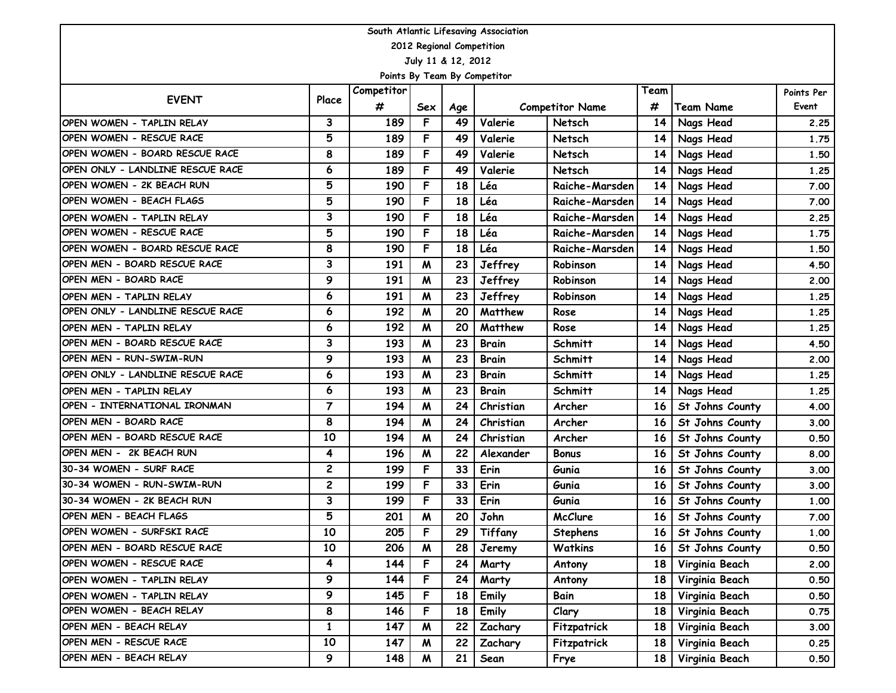|                                  |                |            |                  |                    | South Atlantic Lifesaving Association |                        |                 |                  |            |
|----------------------------------|----------------|------------|------------------|--------------------|---------------------------------------|------------------------|-----------------|------------------|------------|
| 2012 Regional Competition        |                |            |                  |                    |                                       |                        |                 |                  |            |
|                                  |                |            |                  | July 11 & 12, 2012 |                                       |                        |                 |                  |            |
|                                  |                |            |                  |                    | Points By Team By Competitor          |                        |                 |                  |            |
| <b>EVENT</b>                     | Place          | Competitor |                  |                    |                                       |                        | Team            |                  | Points Per |
|                                  |                | #          | Sex              | Age                |                                       | <b>Competitor Name</b> | #               | <b>Team Name</b> | Event      |
| OPEN WOMEN - TAPLIN RELAY        | 3              | 189        | F                | 49                 | Valerie                               | Netsch                 | 14              | Nags Head        | 2.25       |
| OPEN WOMEN - RESCUE RACE         | 5              | 189        | F                | 49                 | Valerie                               | Netsch                 | 14              | Nags Head        | 1.75       |
| OPEN WOMEN - BOARD RESCUE RACE   | 8              | 189        | F                | 49                 | Valerie                               | Netsch                 | 14              | Nags Head        | 1.50       |
| OPEN ONLY - LANDLINE RESCUE RACE | 6              | 189        | F                | 49                 | Valerie                               | Netsch                 | 14              | Nags Head        | 1.25       |
| OPEN WOMEN - 2K BEACH RUN        | 5              | 190        | F                | 18                 | Léa                                   | Raiche-Marsden         | 14              | Nags Head        | 7.00       |
| OPEN WOMEN - BEACH FLAGS         | 5              | 190        | F                | 18                 | Léa                                   | Raiche-Marsden         | 14              | Nags Head        | 7.00       |
| OPEN WOMEN - TAPLIN RELAY        | 3              | 190        | F                | 18                 | Léa                                   | Raiche-Marsden         | 14              | Nags Head        | 2.25       |
| OPEN WOMEN - RESCUE RACE         | 5              | 190        | F                | 18                 | Léa                                   | Raiche-Marsden         | 14              | Nags Head        | 1.75       |
| OPEN WOMEN - BOARD RESCUE RACE   | 8              | 190        | F                | 18                 | Léa                                   | Raiche-Marsden         | 14              | Nags Head        | 1.50       |
| OPEN MEN - BOARD RESCUE RACE     | 3              | 191        | M                | 23                 | Jeffrey                               | Robinson               | 14              | Nags Head        | 4.50       |
| OPEN MEN - BOARD RACE            | 9              | 191        | M                | 23                 | Jeffrey                               | Robinson               | 14              | Nags Head        | 2.00       |
| OPEN MEN - TAPLIN RELAY          | 6              | 191        | M                | 23                 | Jeffrey                               | Robinson               | 14              | Nags Head        | 1.25       |
| OPEN ONLY - LANDLINE RESCUE RACE | 6              | 192        | M                | 20                 | Matthew                               | Rose                   | 14              | Nags Head        | 1.25       |
| IOPEN MEN - TAPLIN RELAY         | 6              | 192        | M                | 20                 | Matthew                               | Rose                   | 14              | Nags Head        | 1.25       |
| OPEN MEN - BOARD RESCUE RACE     | 3              | 193        | M                | 23                 | <b>Brain</b>                          | Schmitt                | 14              | Nags Head        | 4.50       |
| OPEN MEN - RUN-SWIM-RUN          | 9              | 193        | M                | 23                 | <b>Brain</b>                          | Schmitt                | 14              | Nags Head        | 2.00       |
| OPEN ONLY - LANDLINE RESCUE RACE | 6              | 193        | M                | 23                 | <b>Brain</b>                          | Schmitt                | 14              | Nags Head        | 1.25       |
| OPEN MEN - TAPLIN RELAY          | 6              | 193        | M                | 23                 | <b>Brain</b>                          | Schmitt                | 14              | Nags Head        | 1.25       |
| OPEN - INTERNATIONAL IRONMAN     | $\overline{ }$ | 194        | M                | 24                 | Christian                             | Archer                 | 16              | St Johns County  | 4.00       |
| OPEN MEN - BOARD RACE            | 8              | 194        | M                | 24                 | Christian                             | Archer                 | 16              | St Johns County  | 3.00       |
| OPEN MEN - BOARD RESCUE RACE     | 10             | 194        | M                | 24                 | Christian                             | Archer                 | 16              | St Johns County  | 0.50       |
| OPEN MEN - 2K BEACH RUN          | 4              | 196        | M                | 22                 | Alexander                             | Bonus                  | 16              | St Johns County  | 8.00       |
| 30-34 WOMEN - SURF RACE          | 2              | 199        | F                | 33                 | Erin                                  | Gunia                  | 16              | St Johns County  | 3.00       |
| 30-34 WOMEN - RUN-SWIM-RUN       | 2              | 199        | F                | 33                 | Erin                                  | Gunia                  | 16              | St Johns County  | 3.00       |
| 30-34 WOMEN - 2K BEACH RUN       | 3              | 199        | F                | 33                 | Erin                                  | Gunia                  | 16              | St Johns County  | 1.00       |
| OPEN MEN - BEACH FLAGS           | 5              | 201        | $\boldsymbol{M}$ | 20                 | John                                  | McClure                | 16 <sup>1</sup> | St Johns County  | 7.00       |
| OPEN WOMEN - SURFSKI RACE        | 10             | 205        | $\overline{F}$   | 29                 | Tiffany                               | <b>Stephens</b>        | 16              | St Johns County  | 1.00       |
| OPEN MEN - BOARD RESCUE RACE     | 10             | 206        | M                | 28                 | Jeremy                                | Watkins                | 16              | St Johns County  | 0.50       |
| OPEN WOMEN - RESCUE RACE         | 4              | 144        | F                | 24                 | Marty                                 | Antony                 | 18              | Virginia Beach   | 2.00       |
| OPEN WOMEN - TAPLIN RELAY        | 9              | 144        | F                | 24                 | Marty                                 | Antony                 | 18              | Virginia Beach   | 0.50       |
| OPEN WOMEN - TAPLIN RELAY        | 9              | 145        | F                | 18                 | Emily                                 | Bain                   | 18              | Virginia Beach   | 0.50       |
| OPEN WOMEN - BEACH RELAY         | 8              | 146        | F                | 18                 | Emily                                 | Clary                  | <b>18</b>       | Virginia Beach   | 0.75       |
| OPEN MEN - BEACH RELAY           | $\mathbf{1}$   | 147        | M                | 22                 | Zachary                               | Fitzpatrick            | 18 <sup>1</sup> | Virginia Beach   | 3.00       |
| OPEN MEN - RESCUE RACE           | 10             | 147        | M                | 22                 | Zachary                               | Fitzpatrick            | 18              | Virginia Beach   | 0.25       |
| OPEN MEN - BEACH RELAY           | 9              | 148        | M                | 21                 | Sean                                  | Frye                   | 18 I            | Virginia Beach   | 0.50       |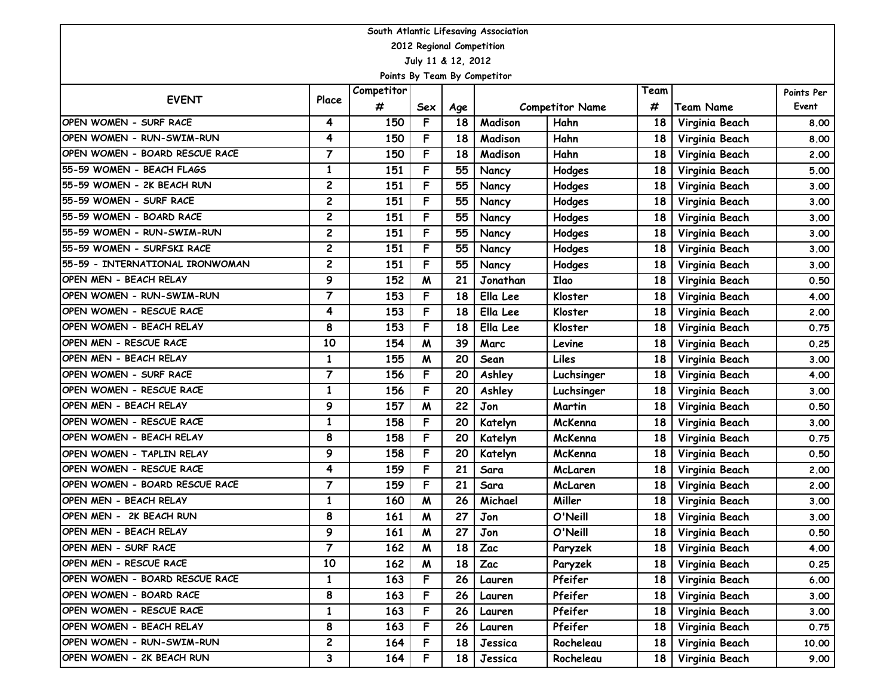|                                 |                         |            |                    |                    | South Atlantic Lifesaving Association |            |      |                   |            |
|---------------------------------|-------------------------|------------|--------------------|--------------------|---------------------------------------|------------|------|-------------------|------------|
|                                 |                         |            |                    |                    | 2012 Regional Competition             |            |      |                   |            |
|                                 |                         |            |                    | July 11 & 12, 2012 |                                       |            |      |                   |            |
|                                 |                         |            |                    |                    | Points By Team By Competitor          |            |      |                   |            |
| <b>EVENT</b>                    | Place                   | Competitor |                    |                    |                                       |            | Team |                   | Points Per |
|                                 |                         | #          | Sex                | Age                | <b>Competitor Name</b>                |            | #    | <b>Team Name</b>  | Event      |
| OPEN WOMEN - SURF RACE          | 4                       | 150        | F                  | 18                 | Madison                               | Hahn       | 18   | Virginia Beach    | 8.00       |
| OPEN WOMEN - RUN-SWIM-RUN       | 4                       | 150        | F                  | 18                 | Madison                               | Hahn       | 18   | Virginia Beach    | 8.00       |
| OPEN WOMEN - BOARD RESCUE RACE  | 7                       | 150        | F                  | 18                 | Madison                               | Hahn       | 18   | Virginia Beach    | 2.00       |
| 55-59 WOMEN - BEACH FLAGS       | $\mathbf{1}$            | 151        | F                  | 55                 | Nancy                                 | Hodges     | 18   | Virginia Beach    | 5.00       |
| 55-59 WOMEN - 2K BEACH RUN      | $\mathbf{2}$            | 151        | F                  | 55                 | Nancy                                 | Hodges     | 18   | Virginia Beach    | 3.00       |
| 55-59 WOMEN - SURF RACE         | 2                       | 151        | F                  | 55                 | Nancy                                 | Hodges     | 18   | Virginia Beach    | 3.00       |
| 55-59 WOMEN - BOARD RACE        | $\mathbf{2}$            | 151        | F                  | 55                 | Nancy                                 | Hodges     | 18   | Virginia Beach    | 3.00       |
| 155-59 WOMEN - RUN-SWIM-RUN     | $\mathbf{2}$            | 151        | F                  | 55                 | Nancy                                 | Hodges     | 18   | Virginia Beach    | 3.00       |
| 55-59 WOMEN - SURFSKI RACE      | $\mathbf{2}$            | 151        | F                  | 55                 | Nancy                                 | Hodges     | 18   | Virginia Beach    | 3.00       |
| 55-59 - INTERNATIONAL IRONWOMAN | $\mathbf{2}$            | 151        | F                  | 55                 | Nancy                                 | Hodges     | 18   | Virginia Beach    | 3.00       |
| OPEN MEN - BEACH RELAY          | 9                       | 152        | M                  | 21                 | Jonathan                              | Ilao       | 18   | Virginia Beach    | 0.50       |
| OPEN WOMEN - RUN-SWIM-RUN       | $\overline{7}$          | 153        | F                  | 18                 | Ella Lee                              | Kloster    | 18   | Virginia Beach    | 4.00       |
| OPEN WOMEN - RESCUE RACE        | 4                       | 153        | F                  | 18                 | Ella Lee                              | Kloster    | 18   | Virginia Beach    | 2.00       |
| OPEN WOMEN - BEACH RELAY        | 8                       | 153        | F                  | 18                 | Ella Lee                              | Kloster    | 18   | Virginia Beach    | 0.75       |
| OPEN MEN - RESCUE RACE          | 10                      | 154        | M                  | 39                 | Marc                                  | Levine     | 18   | Virginia Beach    | 0.25       |
| OPEN MEN - BEACH RELAY          | 1                       | 155        | M                  | 20                 | Sean                                  | Liles      | 18   | Virginia Beach    | 3.00       |
| OPEN WOMEN - SURF RACE          | 7                       | 156        | F                  | 20                 | Ashley                                | Luchsinger | 18   | Virginia Beach    | 4.00       |
| OPEN WOMEN - RESCUE RACE        | 1                       | 156        | F                  | 20                 | Ashley                                | Luchsinger | 18   | Virginia Beach    | 3.00       |
| OPEN MEN - BEACH RELAY          | 9                       | 157        | M                  | 22                 | Jon                                   | Martin     | 18   | Virginia Beach    | 0.50       |
| OPEN WOMEN - RESCUE RACE        | $\mathbf{1}$            | 158        | F                  | 20                 | Katelyn                               | McKenna    | 18   | Virginia Beach    | 3.00       |
| OPEN WOMEN - BEACH RELAY        | 8                       | 158        | F                  | 20                 | Katelyn                               | McKenna    | 18   | Virginia Beach    | 0.75       |
| OPEN WOMEN - TAPLIN RELAY       | 9                       | 158        | F                  | 20                 | Katelyn                               | McKenna    | 18   | Virginia Beach    | 0.50       |
| OPEN WOMEN - RESCUE RACE        | 4                       | 159        | F                  | 21                 | Sara                                  | McLaren    | 18   | Virginia Beach    | 2.00       |
| OPEN WOMEN - BOARD RESCUE RACE  | 7                       | 159        | F                  | 21                 | Sara                                  | McLaren    | 18   | Virginia Beach    | 2.00       |
| OPEN MEN - BEACH RELAY          | $\mathbf{1}$            | 160        | M                  | 26                 | Michael                               | Miller     | 18   | Virginia Beach    | 3.00       |
| OPEN MEN - 2K BEACH RUN         | 8                       | 161        | M                  | 27                 | Jon                                   | O'Neill    | 18   | Virginia Beach    | 3.00       |
| OPEN MEN - BEACH RELAY          | 9                       | 161        | $\pmb{\mathsf{M}}$ | 27                 | Jon                                   | O'Neill    |      | 18 Virginia Beach | 0.50       |
| OPEN MEN - SURF RACE            | $\overline{\mathbf{z}}$ | 162        | M                  | 18                 | Zac                                   | Paryzek    | 18   | Virginia Beach    | 4.00       |
| OPEN MEN - RESCUE RACE          | 10                      | 162        | M                  | 18                 | Zac                                   | Paryzek    | 18   | Virginia Beach    | 0.25       |
| OPEN WOMEN - BOARD RESCUE RACE  | $\mathbf{1}$            | 163        | F                  | 26                 | Lauren                                | Pfeifer    | 18   | Virginia Beach    | 6.00       |
| OPEN WOMEN - BOARD RACE         | 8                       | 163        | F                  | 26                 | Lauren                                | Pfeifer    | 18   | Virginia Beach    | 3.00       |
| OPEN WOMEN - RESCUE RACE        | $\mathbf{1}$            | 163        | F                  | 26                 | Lauren                                | Pfeifer    | 18   | Virginia Beach    | 3.00       |
| OPEN WOMEN - BEACH RELAY        | 8                       | 163        | F                  | 26                 | Lauren                                | Pfeifer    | 18   | Virginia Beach    | 0.75       |
| OPEN WOMEN - RUN-SWIM-RUN       | 2                       | 164        | F                  | 18                 | Jessica                               | Rocheleau  | 18   | Virginia Beach    | 10.00      |
| OPEN WOMEN - 2K BEACH RUN       | $\mathbf{3}$            | 164        | F.                 | 18 <sup>1</sup>    | Jessica                               | Rocheleau  | 18   | Virginia Beach    | 9.00       |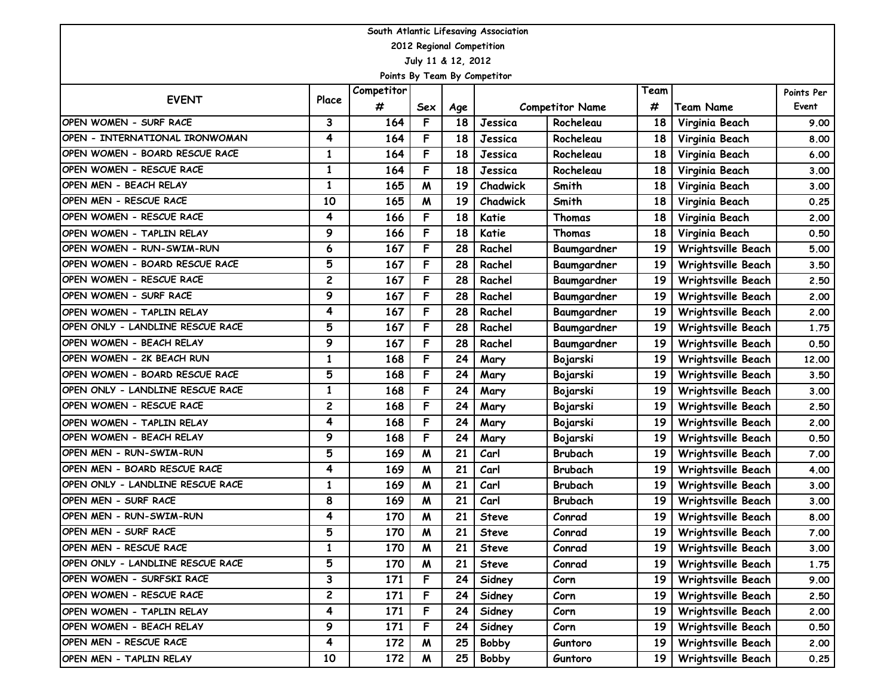| South Atlantic Lifesaving Association |                         |            |                |                 |                               |                |                 |                           |            |
|---------------------------------------|-------------------------|------------|----------------|-----------------|-------------------------------|----------------|-----------------|---------------------------|------------|
| 2012 Regional Competition             |                         |            |                |                 |                               |                |                 |                           |            |
| July 11 & 12, 2012                    |                         |            |                |                 |                               |                |                 |                           |            |
|                                       |                         |            |                |                 | Points By Team By Competitor  |                |                 |                           |            |
| <b>EVENT</b>                          | Place                   | Competitor |                |                 | <b>Competitor Name</b><br>Age |                | Team            |                           | Points Per |
|                                       |                         | #          | Sex            |                 |                               |                | #               | <b>Team Name</b>          | Event      |
| OPEN WOMEN - SURF RACE                | 3                       | 164        | F              | 18              | Jessica                       | Rocheleau      | 18              | Virginia Beach            | 9.00       |
| OPEN - INTERNATIONAL IRONWOMAN        | 4                       | 164        | F              | 18              | Jessica                       | Rocheleau      | 18              | Virginia Beach            | 8.00       |
| OPEN WOMEN - BOARD RESCUE RACE        | 1                       | 164        | F              | 18              | Jessica                       | Rocheleau      | 18              | Virginia Beach            | 6.00       |
| OPEN WOMEN - RESCUE RACE              | $\mathbf{1}$            | 164        | F              | 18              | Jessica                       | Rocheleau      | 18              | Virginia Beach            | 3.00       |
| OPEN MEN - BEACH RELAY                | $\mathbf{1}$            | 165        | M              | 19              | Chadwick                      | Smith          | 18              | Virginia Beach            | 3.00       |
| OPEN MEN - RESCUE RACE                | 10                      | 165        | M              | 19              | Chadwick                      | Smith          | 18              | Virginia Beach            | 0.25       |
| OPEN WOMEN - RESCUE RACE              | 4                       | 166        | F              | 18              | Katie                         | <b>Thomas</b>  | 18              | Virginia Beach            | 2.00       |
| IOPEN WOMEN - TAPLIN RELAY            | 9                       | 166        | F              | 18              | Katie                         | Thomas         | 18              | Virginia Beach            | 0.50       |
| OPEN WOMEN - RUN-SWIM-RUN             | 6                       | 167        | F              | 28              | Rachel                        | Baumgardner    | 19              | Wrightsville Beach        | 5.00       |
| OPEN WOMEN - BOARD RESCUE RACE        | 5                       | 167        | F              | 28              | Rachel                        | Baumgardner    | 19              | Wrightsville Beach        | 3.50       |
| OPEN WOMEN - RESCUE RACE              | $\overline{2}$          | 167        | F              | 28              | Rachel                        | Baumgardner    | 19              | Wrightsville Beach        | 2.50       |
| OPEN WOMEN - SURF RACE                | 9                       | 167        | F              | 28              | Rachel                        | Baumgardner    | 19              | Wrightsville Beach        | 2.00       |
| OPEN WOMEN - TAPLIN RELAY             | 4                       | 167        | F              | 28              | Rachel                        | Baumgardner    | 19              | Wrightsville Beach        | 2.00       |
| OPEN ONLY - LANDLINE RESCUE RACE      | 5                       | 167        | F              | 28              | Rachel                        | Baumgardner    | 19              | Wrightsville Beach        | 1.75       |
| OPEN WOMEN - BEACH RELAY              | 9                       | 167        | F              | 28              | Rachel                        | Baumgardner    | 19              | Wrightsville Beach        | 0.50       |
| OPEN WOMEN - 2K BEACH RUN             | $\mathbf{1}$            | 168        | F              | 24              | Mary                          | Bojarski       | 19              | <b>Wrightsville Beach</b> | 12,00      |
| OPEN WOMEN - BOARD RESCUE RACE        | 5                       | 168        | F              | 24              | Mary                          | Bojarski       | 19              | Wrightsville Beach        | 3.50       |
| OPEN ONLY - LANDLINE RESCUE RACE      | $\mathbf{1}$            | 168        | F              | 24              | Mary                          | Bojarski       | 19              | Wrightsville Beach        | 3.00       |
| OPEN WOMEN - RESCUE RACE              | $\mathbf{2}$            | 168        | F              | 24              | Mary                          | Bojarski       | 19              | Wrightsville Beach        | 2.50       |
| IOPEN WOMEN - TAPLIN RELAY            | 4                       | 168        | F              | 24              | Mary                          | Bojarski       | 19              | Wrightsville Beach        | 2.00       |
| OPEN WOMEN - BEACH RELAY              | 9                       | 168        | F              | 24              | Mary                          | Bojarski       | 19              | Wrightsville Beach        | 0.50       |
| OPEN MEN - RUN-SWIM-RUN               | 5                       | 169        | M              | 21              | Carl                          | <b>Brubach</b> | 19              | Wrightsville Beach        | 7.00       |
| OPEN MEN - BOARD RESCUE RACE          | 4                       | 169        | M              | 21              | Carl                          | Brubach        | 19              | Wrightsville Beach        | 4.00       |
| OPEN ONLY - LANDLINE RESCUE RACE      | $\mathbf{1}$            | 169        | M              | 21              | Carl                          | <b>Brubach</b> | 19              | Wrightsville Beach        | 3.00       |
| OPEN MEN - SURF RACE                  | 8                       | 169        | M              | 21              | Carl                          | <b>Brubach</b> | 19              | Wrightsville Beach        | 3.00       |
| OPEN MEN - RUN-SWIM-RUN               | 4                       | 170        | M              | 21              | <b>Steve</b>                  | Conrad         | 19              | Wrightsville Beach        | 8.00       |
| OPEN MEN - SURF RACE                  | 5                       | 170        | $\overline{M}$ | 21              | <b>Steve</b>                  | Conrad         | 19 <sup>1</sup> | Wrightsville Beach        | 7.00       |
| OPEN MEN - RESCUE RACE                | $\mathbf{1}$            | 170        | M              | 21              | Steve                         | Conrad         | 19              | Wrightsville Beach        | 3.00       |
| OPEN ONLY - LANDLINE RESCUE RACE      | 5                       | 170        | M              | 21              | <b>Steve</b>                  | Conrad         | 19              | Wrightsville Beach        | 1.75       |
| OPEN WOMEN - SURFSKI RACE             | 3                       | 171        | F              | 24              | Sidney                        | Corn           | 19              | Wrightsville Beach        | 9.00       |
| OPEN WOMEN - RESCUE RACE              | $\overline{\mathbf{c}}$ | 171        | F              | 24              | Sidney                        | Corn           | 19              | Wrightsville Beach        | 2.50       |
| OPEN WOMEN - TAPLIN RELAY             | 4                       | 171        | F              | 24              | Sidney                        | Corn           | 19              | Wrightsville Beach        | 2.00       |
| OPEN WOMEN - BEACH RELAY              | 9                       | 171        | F              | 24              | Sidney                        | Corn           | 19              | Wrightsville Beach        | 0.50       |
| OPEN MEN - RESCUE RACE                | 4                       | 172        | M              | 25              | Bobby                         | Guntoro        | 19              | <b>Wrightsville Beach</b> | 2.00       |
| OPEN MEN - TAPLIN RELAY               | 10                      | 172        | M              | 25 <sub>1</sub> | <b>Bobby</b>                  | Guntoro        | 19              | Wrightsville Beach        | 0.25       |